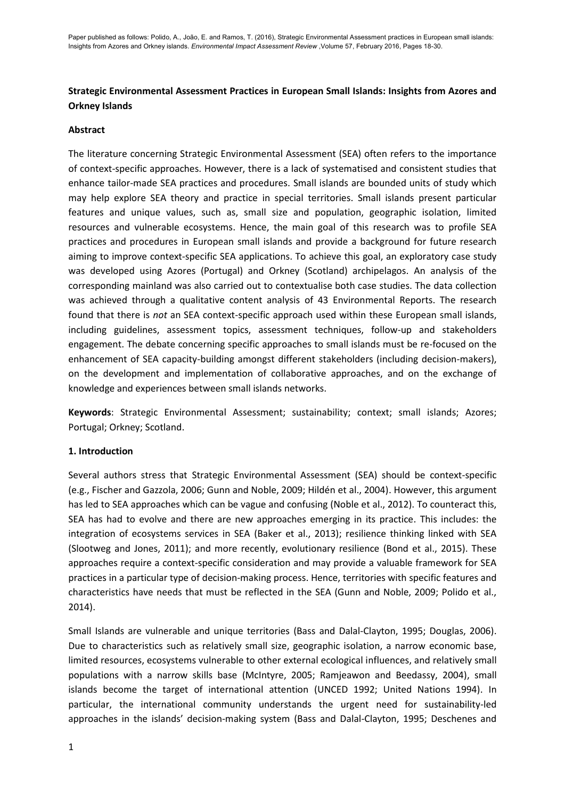## **Strategic Environmental Assessment Practices in European Small Islands: Insights from Azores and Orkney Islands**

## **Abstract**

The literature concerning Strategic Environmental Assessment (SEA) often refers to the importance of context-specific approaches. However, there is a lack of systematised and consistent studies that enhance tailor-made SEA practices and procedures. Small islands are bounded units of study which may help explore SEA theory and practice in special territories. Small islands present particular features and unique values, such as, small size and population, geographic isolation, limited resources and vulnerable ecosystems. Hence, the main goal of this research was to profile SEA practices and procedures in European small islands and provide a background for future research aiming to improve context-specific SEA applications. To achieve this goal, an exploratory case study was developed using Azores (Portugal) and Orkney (Scotland) archipelagos. An analysis of the corresponding mainland was also carried out to contextualise both case studies. The data collection was achieved through a qualitative content analysis of 43 Environmental Reports. The research found that there is *not* an SEA context-specific approach used within these European small islands, including guidelines, assessment topics, assessment techniques, follow-up and stakeholders engagement. The debate concerning specific approaches to small islands must be re-focused on the enhancement of SEA capacity-building amongst different stakeholders (including decision-makers), on the development and implementation of collaborative approaches, and on the exchange of knowledge and experiences between small islands networks.

**Keywords**: Strategic Environmental Assessment; sustainability; context; small islands; Azores; Portugal; Orkney; Scotland.

#### **1. Introduction**

Several authors stress that Strategic Environmental Assessment (SEA) should be context-specific (e.g., Fischer and Gazzola, 2006; Gunn and Noble, 2009; Hildén et al., 2004). However, this argument has led to SEA approaches which can be vague and confusing (Noble et al., 2012). To counteract this, SEA has had to evolve and there are new approaches emerging in its practice. This includes: the integration of ecosystems services in SEA (Baker et al., 2013); resilience thinking linked with SEA (Slootweg and Jones, 2011); and more recently, evolutionary resilience (Bond et al., 2015). These approaches require a context-specific consideration and may provide a valuable framework for SEA practices in a particular type of decision-making process. Hence, territories with specific features and characteristics have needs that must be reflected in the SEA (Gunn and Noble, 2009; Polido et al., 2014).

Small Islands are vulnerable and unique territories (Bass and Dalal-Clayton, 1995; Douglas, 2006). Due to characteristics such as relatively small size, geographic isolation, a narrow economic base, limited resources, ecosystems vulnerable to other external ecological influences, and relatively small populations with a narrow skills base (McIntyre, 2005; Ramjeawon and Beedassy, 2004), small islands become the target of international attention (UNCED 1992; United Nations 1994). In particular, the international community understands the urgent need for sustainability-led approaches in the islands' decision-making system (Bass and Dalal-Clayton, 1995; Deschenes and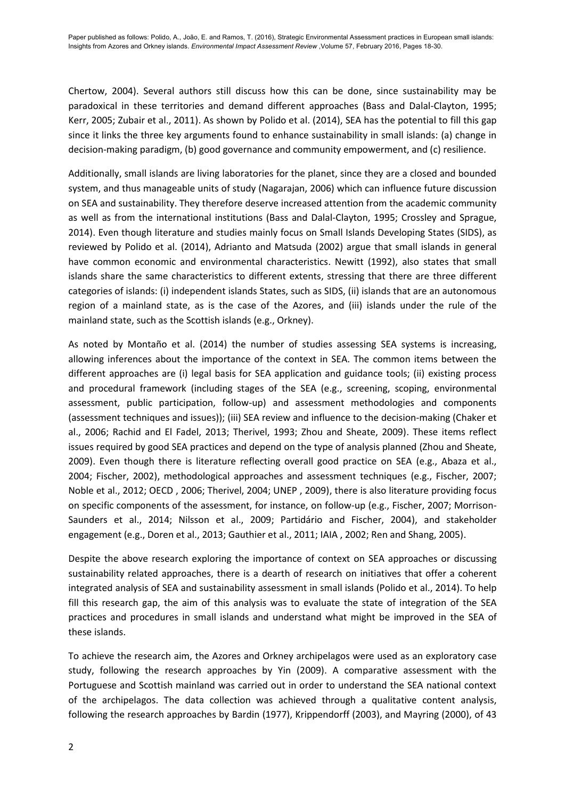Chertow, 2004). Several authors still discuss how this can be done, since sustainability may be paradoxical in these territories and demand different approaches (Bass and Dalal-Clayton, 1995; Kerr, 2005; Zubair et al., 2011). As shown by Polido et al. (2014), SEA has the potential to fill this gap since it links the three key arguments found to enhance sustainability in small islands: (a) change in decision-making paradigm, (b) good governance and community empowerment, and (c) resilience.

Additionally, small islands are living laboratories for the planet, since they are a closed and bounded system, and thus manageable units of study (Nagarajan, 2006) which can influence future discussion on SEA and sustainability. They therefore deserve increased attention from the academic community as well as from the international institutions (Bass and Dalal-Clayton, 1995; Crossley and Sprague, 2014). Even though literature and studies mainly focus on Small Islands Developing States (SIDS), as reviewed by Polido et al. (2014), Adrianto and Matsuda (2002) argue that small islands in general have common economic and environmental characteristics. Newitt (1992), also states that small islands share the same characteristics to different extents, stressing that there are three different categories of islands: (i) independent islands States, such as SIDS, (ii) islands that are an autonomous region of a mainland state, as is the case of the Azores, and (iii) islands under the rule of the mainland state, such as the Scottish islands (e.g., Orkney).

As noted by Montaño et al. (2014) the number of studies assessing SEA systems is increasing, allowing inferences about the importance of the context in SEA. The common items between the different approaches are (i) legal basis for SEA application and guidance tools; (ii) existing process and procedural framework (including stages of the SEA (e.g., screening, scoping, environmental assessment, public participation, follow-up) and assessment methodologies and components (assessment techniques and issues)); (iii) SEA review and influence to the decision-making (Chaker et al., 2006; Rachid and El Fadel, 2013; Therivel, 1993; Zhou and Sheate, 2009). These items reflect issues required by good SEA practices and depend on the type of analysis planned (Zhou and Sheate, 2009). Even though there is literature reflecting overall good practice on SEA (e.g., Abaza et al., 2004; Fischer, 2002), methodological approaches and assessment techniques (e.g., Fischer, 2007; Noble et al., 2012; OECD , 2006; Therivel, 2004; UNEP , 2009), there is also literature providing focus on specific components of the assessment, for instance, on follow-up (e.g., Fischer, 2007; Morrison-Saunders et al., 2014; Nilsson et al., 2009; Partidário and Fischer, 2004), and stakeholder engagement (e.g., Doren et al., 2013; Gauthier et al., 2011; IAIA , 2002; Ren and Shang, 2005).

Despite the above research exploring the importance of context on SEA approaches or discussing sustainability related approaches, there is a dearth of research on initiatives that offer a coherent integrated analysis of SEA and sustainability assessment in small islands (Polido et al., 2014). To help fill this research gap, the aim of this analysis was to evaluate the state of integration of the SEA practices and procedures in small islands and understand what might be improved in the SEA of these islands.

To achieve the research aim, the Azores and Orkney archipelagos were used as an exploratory case study, following the research approaches by Yin (2009). A comparative assessment with the Portuguese and Scottish mainland was carried out in order to understand the SEA national context of the archipelagos. The data collection was achieved through a qualitative content analysis, following the research approaches by Bardin (1977), Krippendorff (2003), and Mayring (2000), of 43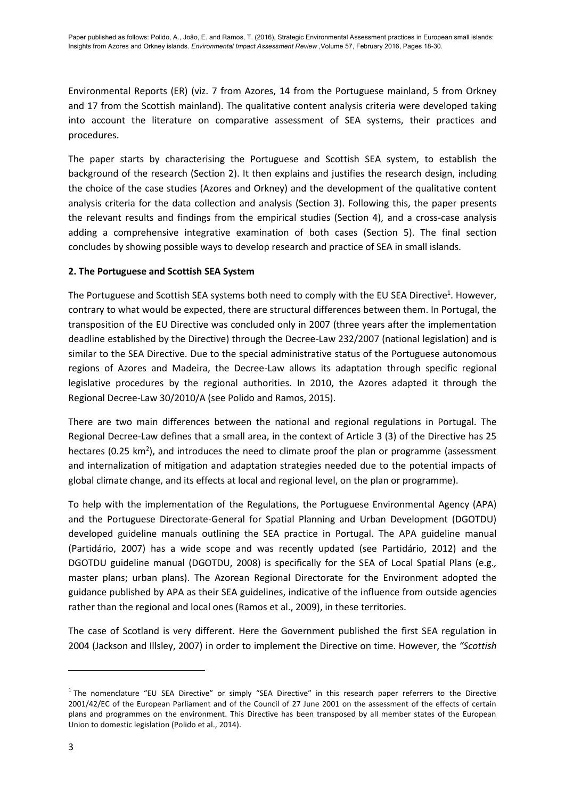Environmental Reports (ER) (viz. 7 from Azores, 14 from the Portuguese mainland, 5 from Orkney and 17 from the Scottish mainland). The qualitative content analysis criteria were developed taking into account the literature on comparative assessment of SEA systems, their practices and procedures.

The paper starts by characterising the Portuguese and Scottish SEA system, to establish the background of the research (Section 2). It then explains and justifies the research design, including the choice of the case studies (Azores and Orkney) and the development of the qualitative content analysis criteria for the data collection and analysis (Section 3). Following this, the paper presents the relevant results and findings from the empirical studies (Section 4), and a cross-case analysis adding a comprehensive integrative examination of both cases (Section 5). The final section concludes by showing possible ways to develop research and practice of SEA in small islands.

## **2. The Portuguese and Scottish SEA System**

The Portuguese and Scottish SEA systems both need to comply with the EU SEA Directive<sup>1</sup>. However, contrary to what would be expected, there are structural differences between them. In Portugal, the transposition of the EU Directive was concluded only in 2007 (three years after the implementation deadline established by the Directive) through the Decree-Law 232/2007 (national legislation) and is similar to the SEA Directive. Due to the special administrative status of the Portuguese autonomous regions of Azores and Madeira, the Decree-Law allows its adaptation through specific regional legislative procedures by the regional authorities. In 2010, the Azores adapted it through the Regional Decree-Law 30/2010/A (see Polido and Ramos, 2015).

There are two main differences between the national and regional regulations in Portugal. The Regional Decree-Law defines that a small area, in the context of Article 3 (3) of the Directive has 25 hectares (0.25 km<sup>2</sup>), and introduces the need to climate proof the plan or programme (assessment and internalization of mitigation and adaptation strategies needed due to the potential impacts of global climate change, and its effects at local and regional level, on the plan or programme).

To help with the implementation of the Regulations, the Portuguese Environmental Agency (APA) and the Portuguese Directorate-General for Spatial Planning and Urban Development (DGOTDU) developed guideline manuals outlining the SEA practice in Portugal. The APA guideline manual (Partidário, 2007) has a wide scope and was recently updated (see Partidário, 2012) and the DGOTDU guideline manual (DGOTDU, 2008) is specifically for the SEA of Local Spatial Plans (e.g.*,*  master plans; urban plans). The Azorean Regional Directorate for the Environment adopted the guidance published by APA as their SEA guidelines, indicative of the influence from outside agencies rather than the regional and local ones (Ramos et al., 2009), in these territories.

The case of Scotland is very different. Here the Government published the first SEA regulation in 2004 (Jackson and Illsley, 2007) in order to implement the Directive on time. However, the *"Scottish* 

**.** 

<sup>&</sup>lt;sup>1</sup> The nomenclature "EU SEA Directive" or simply "SEA Directive" in this research paper referrers to the Directive 2001/42/EC of the European Parliament and of the Council of 27 June 2001 on the assessment of the effects of certain plans and programmes on the environment. This Directive has been transposed by all member states of the European Union to domestic legislation (Polido et al., 2014).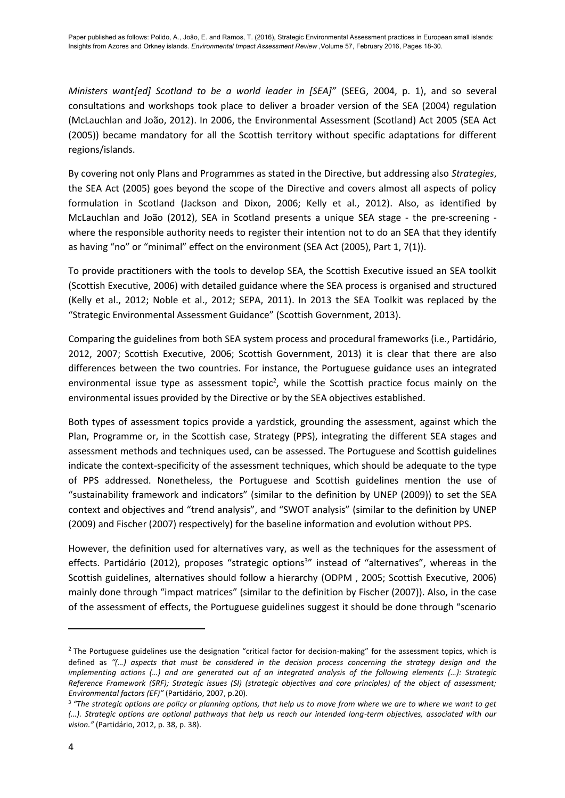*Ministers want[ed] Scotland to be a world leader in [SEA]"* (SEEG, 2004, p. 1), and so several consultations and workshops took place to deliver a broader version of the SEA (2004) regulation (McLauchlan and João, 2012). In 2006, the Environmental Assessment (Scotland) Act 2005 (SEA Act (2005)) became mandatory for all the Scottish territory without specific adaptations for different regions/islands.

By covering not only Plans and Programmes as stated in the Directive, but addressing also *Strategies*, the SEA Act (2005) goes beyond the scope of the Directive and covers almost all aspects of policy formulation in Scotland (Jackson and Dixon, 2006; Kelly et al., 2012). Also, as identified by McLauchlan and João (2012), SEA in Scotland presents a unique SEA stage - the pre-screening where the responsible authority needs to register their intention not to do an SEA that they identify as having "no" or "minimal" effect on the environment (SEA Act (2005), Part 1, 7(1)).

To provide practitioners with the tools to develop SEA, the Scottish Executive issued an SEA toolkit (Scottish Executive, 2006) with detailed guidance where the SEA process is organised and structured (Kelly et al., 2012; Noble et al., 2012; SEPA, 2011). In 2013 the SEA Toolkit was replaced by the "Strategic Environmental Assessment Guidance" (Scottish Government, 2013).

Comparing the guidelines from both SEA system process and procedural frameworks (i.e., Partidário, 2012, 2007; Scottish Executive, 2006; Scottish Government, 2013) it is clear that there are also differences between the two countries. For instance, the Portuguese guidance uses an integrated environmental issue type as assessment topic<sup>2</sup>, while the Scottish practice focus mainly on the environmental issues provided by the Directive or by the SEA objectives established.

Both types of assessment topics provide a yardstick, grounding the assessment, against which the Plan, Programme or, in the Scottish case, Strategy (PPS), integrating the different SEA stages and assessment methods and techniques used, can be assessed. The Portuguese and Scottish guidelines indicate the context-specificity of the assessment techniques, which should be adequate to the type of PPS addressed. Nonetheless, the Portuguese and Scottish guidelines mention the use of "sustainability framework and indicators" (similar to the definition by UNEP (2009)) to set the SEA context and objectives and "trend analysis", and "SWOT analysis" (similar to the definition by UNEP (2009) and Fischer (2007) respectively) for the baseline information and evolution without PPS.

However, the definition used for alternatives vary, as well as the techniques for the assessment of effects. Partidário (2012), proposes "strategic options<sup>3</sup>" instead of "alternatives", whereas in the Scottish guidelines, alternatives should follow a hierarchy (ODPM , 2005; Scottish Executive, 2006) mainly done through "impact matrices" (similar to the definition by Fischer (2007)). Also, in the case of the assessment of effects, the Portuguese guidelines suggest it should be done through "scenario

**.** 

<sup>&</sup>lt;sup>2</sup> The Portuguese guidelines use the designation "critical factor for decision-making" for the assessment topics, which is defined as *"(…) aspects that must be considered in the decision process concerning the strategy design and the implementing actions (…) and are generated out of an integrated analysis of the following elements (…): Strategic Reference Framework (SRF); Strategic issues (SI) (strategic objectives and core principles) of the object of assessment; Environmental factors (EF)"* (Partidário, 2007, p.20).

<sup>&</sup>lt;sup>3</sup> "The strategic options are policy or planning options, that help us to move from where we are to where we want to get *(…). Strategic options are optional pathways that help us reach our intended long-term objectives, associated with our vision."* (Partidário, 2012, p. 38, p. 38).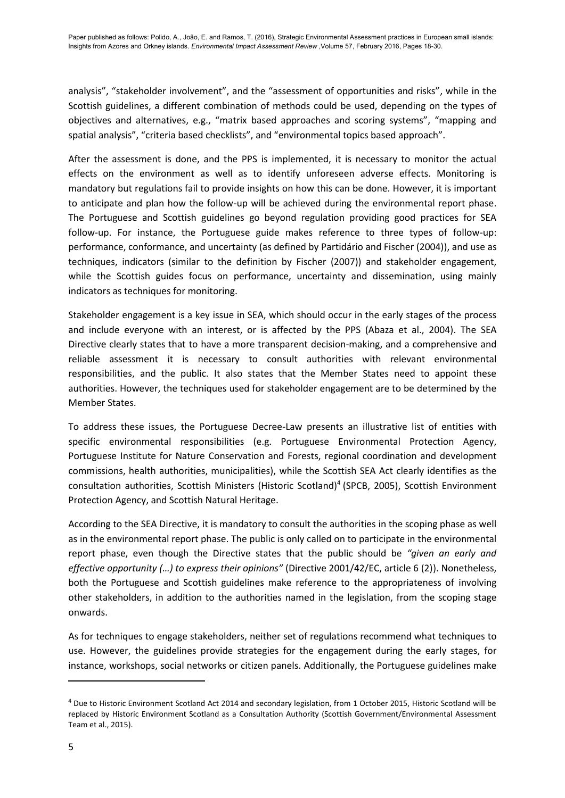analysis", "stakeholder involvement", and the "assessment of opportunities and risks", while in the Scottish guidelines, a different combination of methods could be used, depending on the types of objectives and alternatives, e.g., "matrix based approaches and scoring systems", "mapping and spatial analysis", "criteria based checklists", and "environmental topics based approach".

After the assessment is done, and the PPS is implemented, it is necessary to monitor the actual effects on the environment as well as to identify unforeseen adverse effects. Monitoring is mandatory but regulations fail to provide insights on how this can be done. However, it is important to anticipate and plan how the follow-up will be achieved during the environmental report phase. The Portuguese and Scottish guidelines go beyond regulation providing good practices for SEA follow-up. For instance, the Portuguese guide makes reference to three types of follow-up: performance, conformance, and uncertainty (as defined by Partidário and Fischer (2004)), and use as techniques, indicators (similar to the definition by Fischer (2007)) and stakeholder engagement, while the Scottish guides focus on performance, uncertainty and dissemination, using mainly indicators as techniques for monitoring.

Stakeholder engagement is a key issue in SEA, which should occur in the early stages of the process and include everyone with an interest, or is affected by the PPS (Abaza et al., 2004). The SEA Directive clearly states that to have a more transparent decision-making, and a comprehensive and reliable assessment it is necessary to consult authorities with relevant environmental responsibilities, and the public. It also states that the Member States need to appoint these authorities. However, the techniques used for stakeholder engagement are to be determined by the Member States.

To address these issues, the Portuguese Decree-Law presents an illustrative list of entities with specific environmental responsibilities (e.g. Portuguese Environmental Protection Agency, Portuguese Institute for Nature Conservation and Forests, regional coordination and development commissions, health authorities, municipalities), while the Scottish SEA Act clearly identifies as the consultation authorities, Scottish Ministers (Historic Scotland)<sup>4</sup> (SPCB, 2005), Scottish Environment Protection Agency, and Scottish Natural Heritage.

According to the SEA Directive, it is mandatory to consult the authorities in the scoping phase as well as in the environmental report phase. The public is only called on to participate in the environmental report phase, even though the Directive states that the public should be *"given an early and effective opportunity (…) to express their opinions"* (Directive 2001/42/EC, article 6 (2)). Nonetheless, both the Portuguese and Scottish guidelines make reference to the appropriateness of involving other stakeholders, in addition to the authorities named in the legislation, from the scoping stage onwards.

As for techniques to engage stakeholders, neither set of regulations recommend what techniques to use. However, the guidelines provide strategies for the engagement during the early stages, for instance, workshops, social networks or citizen panels. Additionally, the Portuguese guidelines make

 $\overline{a}$ 

<sup>4</sup> Due to Historic Environment Scotland Act 2014 and secondary legislation, from 1 October 2015, Historic Scotland will be replaced by Historic Environment Scotland as a Consultation Authority (Scottish Government/Environmental Assessment Team et al., 2015).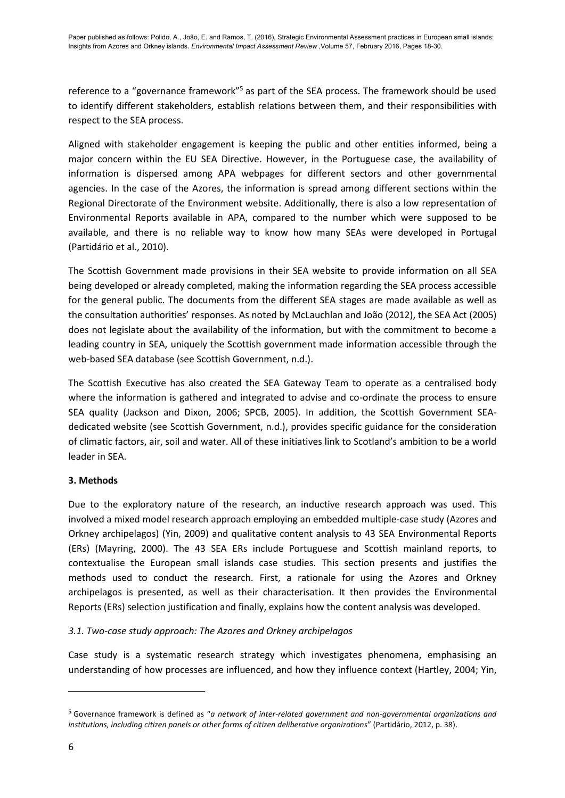reference to a "governance framework"<sup>5</sup> as part of the SEA process. The framework should be used to identify different stakeholders, establish relations between them, and their responsibilities with respect to the SEA process.

Aligned with stakeholder engagement is keeping the public and other entities informed, being a major concern within the EU SEA Directive. However, in the Portuguese case, the availability of information is dispersed among APA webpages for different sectors and other governmental agencies. In the case of the Azores, the information is spread among different sections within the Regional Directorate of the Environment website. Additionally, there is also a low representation of Environmental Reports available in APA, compared to the number which were supposed to be available, and there is no reliable way to know how many SEAs were developed in Portugal (Partidário et al., 2010).

The Scottish Government made provisions in their SEA website to provide information on all SEA being developed or already completed, making the information regarding the SEA process accessible for the general public. The documents from the different SEA stages are made available as well as the consultation authorities' responses. As noted by McLauchlan and João (2012), the SEA Act (2005) does not legislate about the availability of the information, but with the commitment to become a leading country in SEA, uniquely the Scottish government made information accessible through the web-based SEA database (see Scottish Government, n.d.).

The Scottish Executive has also created the SEA Gateway Team to operate as a centralised body where the information is gathered and integrated to advise and co-ordinate the process to ensure SEA quality (Jackson and Dixon, 2006; SPCB, 2005). In addition, the Scottish Government SEAdedicated website (see Scottish Government, n.d.), provides specific guidance for the consideration of climatic factors, air, soil and water. All of these initiatives link to Scotland's ambition to be a world leader in SEA.

# **3. Methods**

Due to the exploratory nature of the research, an inductive research approach was used. This involved a mixed model research approach employing an embedded multiple-case study (Azores and Orkney archipelagos) (Yin, 2009) and qualitative content analysis to 43 SEA Environmental Reports (ERs) (Mayring, 2000). The 43 SEA ERs include Portuguese and Scottish mainland reports, to contextualise the European small islands case studies. This section presents and justifies the methods used to conduct the research. First, a rationale for using the Azores and Orkney archipelagos is presented, as well as their characterisation. It then provides the Environmental Reports (ERs) selection justification and finally, explains how the content analysis was developed.

## *3.1. Two-case study approach: The Azores and Orkney archipelagos*

Case study is a systematic research strategy which investigates phenomena, emphasising an understanding of how processes are influenced, and how they influence context (Hartley, 2004; Yin,

**.** 

<sup>5</sup> Governance framework is defined as "*a network of inter-related government and non-governmental organizations and institutions, including citizen panels or other forms of citizen deliberative organizations*" (Partidário, 2012, p. 38).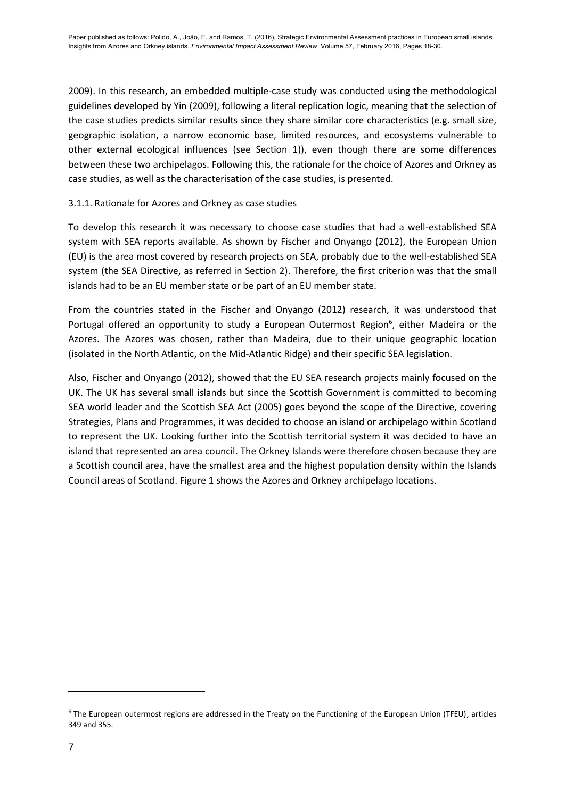2009). In this research, an embedded multiple-case study was conducted using the methodological guidelines developed by Yin (2009), following a literal replication logic, meaning that the selection of the case studies predicts similar results since they share similar core characteristics (e.g. small size, geographic isolation, a narrow economic base, limited resources, and ecosystems vulnerable to other external ecological influences (see Section 1)), even though there are some differences between these two archipelagos. Following this, the rationale for the choice of Azores and Orkney as case studies, as well as the characterisation of the case studies, is presented.

## 3.1.1. Rationale for Azores and Orkney as case studies

To develop this research it was necessary to choose case studies that had a well-established SEA system with SEA reports available. As shown by Fischer and Onyango (2012), the European Union (EU) is the area most covered by research projects on SEA, probably due to the well-established SEA system (the SEA Directive, as referred in Section 2). Therefore, the first criterion was that the small islands had to be an EU member state or be part of an EU member state.

From the countries stated in the Fischer and Onyango (2012) research, it was understood that Portugal offered an opportunity to study a European Outermost Region<sup>6</sup>, either Madeira or the Azores. The Azores was chosen, rather than Madeira, due to their unique geographic location (isolated in the North Atlantic, on the Mid-Atlantic Ridge) and their specific SEA legislation.

Also, Fischer and Onyango (2012), showed that the EU SEA research projects mainly focused on the UK. The UK has several small islands but since the Scottish Government is committed to becoming SEA world leader and the Scottish SEA Act (2005) goes beyond the scope of the Directive, covering Strategies, Plans and Programmes, it was decided to choose an island or archipelago within Scotland to represent the UK. Looking further into the Scottish territorial system it was decided to have an island that represented an area council. The Orkney Islands were therefore chosen because they are a Scottish council area, have the smallest area and the highest population density within the Islands Council areas of Scotland. Figure 1 shows the Azores and Orkney archipelago locations.

**.** 

<sup>&</sup>lt;sup>6</sup> The European outermost regions are addressed in the Treaty on the Functioning of the European Union (TFEU), articles 349 and 355.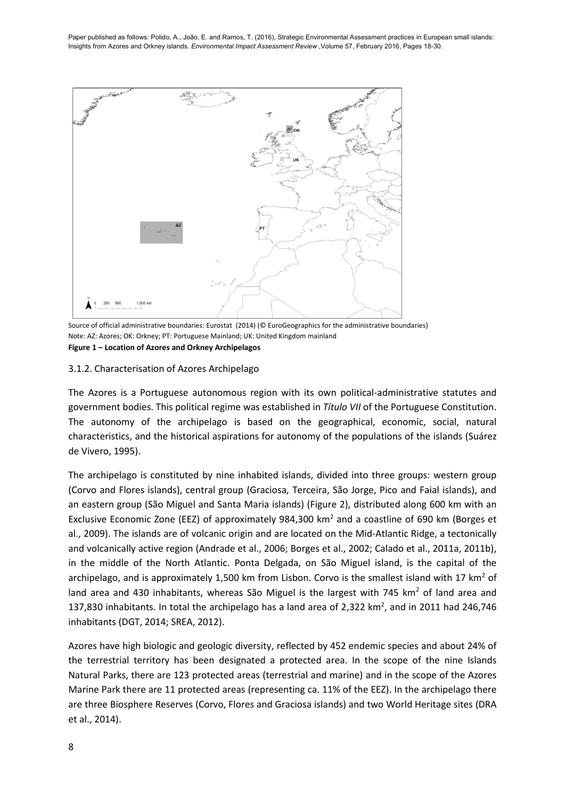

Source of official administrative boundaries: Eurostat (2014) (© EuroGeographics for the administrative boundaries) Note: AZ: Azores; OK: Orkney; PT: Portuguese Mainland; UK: United Kingdom mainland **Figure 1 – Location of Azores and Orkney Archipelagos**

## 3.1.2. Characterisation of Azores Archipelago

The Azores is a Portuguese autonomous region with its own political-administrative statutes and government bodies. This political regime was established in *Título VII* of the Portuguese Constitution. The autonomy of the archipelago is based on the geographical, economic, social, natural characteristics, and the historical aspirations for autonomy of the populations of the islands (Suárez de Vivero, 1995).

The archipelago is constituted by nine inhabited islands, divided into three groups: western group (Corvo and Flores islands), central group (Graciosa, Terceira, São Jorge, Pico and Faial islands), and an eastern group (São Miguel and Santa Maria islands) (Figure 2), distributed along 600 km with an Exclusive Economic Zone (EEZ) of approximately 984,300 km<sup>2</sup> and a coastline of 690 km (Borges et al., 2009). The islands are of volcanic origin and are located on the Mid-Atlantic Ridge, a tectonically and volcanically active region (Andrade et al., 2006; Borges et al., 2002; Calado et al., 2011a, 2011b), in the middle of the North Atlantic. Ponta Delgada, on São Miguel island, is the capital of the archipelago, and is approximately 1,500 km from Lisbon. Corvo is the smallest island with 17 km<sup>2</sup> of land area and 430 inhabitants, whereas São Miguel is the largest with 745  $km<sup>2</sup>$  of land area and 137,830 inhabitants. In total the archipelago has a land area of 2,322 km<sup>2</sup>, and in 2011 had 246,746 inhabitants (DGT, 2014; SREA, 2012).

Azores have high biologic and geologic diversity, reflected by 452 endemic species and about 24% of the terrestrial territory has been designated a protected area. In the scope of the nine Islands Natural Parks, there are 123 protected areas (terrestrial and marine) and in the scope of the Azores Marine Park there are 11 protected areas (representing ca. 11% of the EEZ). In the archipelago there are three Biosphere Reserves (Corvo, Flores and Graciosa islands) and two World Heritage sites (DRA et al., 2014).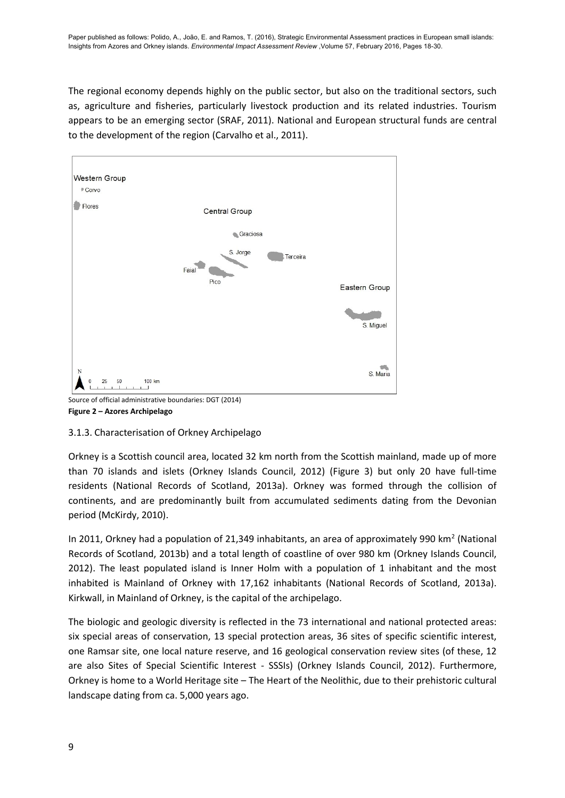The regional economy depends highly on the public sector, but also on the traditional sectors, such as, agriculture and fisheries, particularly livestock production and its related industries. Tourism appears to be an emerging sector (SRAF, 2011). National and European structural funds are central to the development of the region (Carvalho et al., 2011).



Source of official administrative boundaries: DGT (2014) **Figure 2 – Azores Archipelago**

# 3.1.3. Characterisation of Orkney Archipelago

Orkney is a Scottish council area, located 32 km north from the Scottish mainland, made up of more than 70 islands and islets (Orkney Islands Council, 2012) (Figure 3) but only 20 have full-time residents (National Records of Scotland, 2013a). Orkney was formed through the collision of continents, and are predominantly built from accumulated sediments dating from the Devonian period (McKirdy, 2010).

In 2011, Orkney had a population of 21,349 inhabitants, an area of approximately 990  $km^2$  (National Records of Scotland, 2013b) and a total length of coastline of over 980 km (Orkney Islands Council, 2012). The least populated island is Inner Holm with a population of 1 inhabitant and the most inhabited is Mainland of Orkney with 17,162 inhabitants (National Records of Scotland, 2013a). Kirkwall, in Mainland of Orkney, is the capital of the archipelago.

The biologic and geologic diversity is reflected in the 73 international and national protected areas: six special areas of conservation, 13 special protection areas, 36 sites of specific scientific interest, one Ramsar site, one local nature reserve, and 16 geological conservation review sites (of these, 12 are also Sites of Special Scientific Interest - SSSIs) (Orkney Islands Council, 2012). Furthermore, Orkney is home to a World Heritage site – The Heart of the Neolithic, due to their prehistoric cultural landscape dating from ca. 5,000 years ago.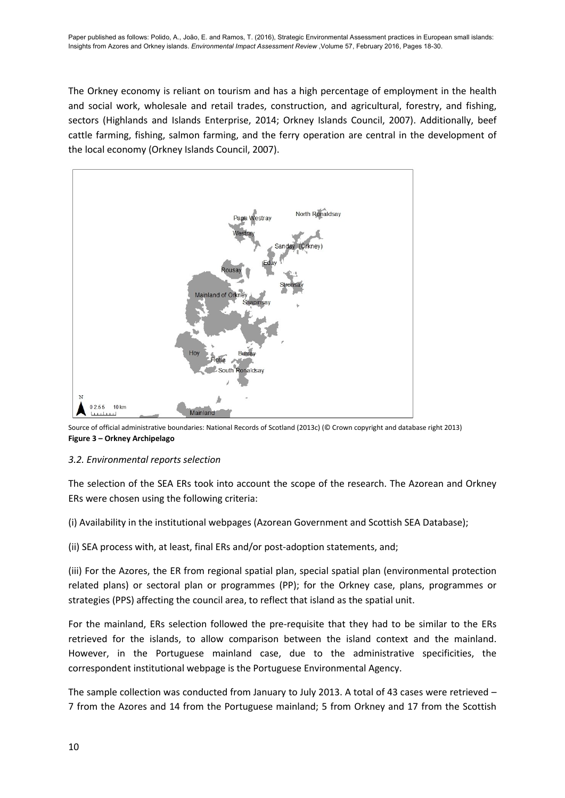The Orkney economy is reliant on tourism and has a high percentage of employment in the health and social work, wholesale and retail trades, construction, and agricultural, forestry, and fishing, sectors (Highlands and Islands Enterprise, 2014; Orkney Islands Council, 2007). Additionally, beef cattle farming, fishing, salmon farming, and the ferry operation are central in the development of the local economy (Orkney Islands Council, 2007).



Source of official administrative boundaries: National Records of Scotland (2013c) (© Crown copyright and database right 2013) **Figure 3 – Orkney Archipelago**

## *3.2. Environmental reports selection*

The selection of the SEA ERs took into account the scope of the research. The Azorean and Orkney ERs were chosen using the following criteria:

(i) Availability in the institutional webpages (Azorean Government and Scottish SEA Database);

(ii) SEA process with, at least, final ERs and/or post-adoption statements, and;

(iii) For the Azores, the ER from regional spatial plan, special spatial plan (environmental protection related plans) or sectoral plan or programmes (PP); for the Orkney case, plans, programmes or strategies (PPS) affecting the council area, to reflect that island as the spatial unit.

For the mainland, ERs selection followed the pre-requisite that they had to be similar to the ERs retrieved for the islands, to allow comparison between the island context and the mainland. However, in the Portuguese mainland case, due to the administrative specificities, the correspondent institutional webpage is the Portuguese Environmental Agency.

The sample collection was conducted from January to July 2013. A total of 43 cases were retrieved – 7 from the Azores and 14 from the Portuguese mainland; 5 from Orkney and 17 from the Scottish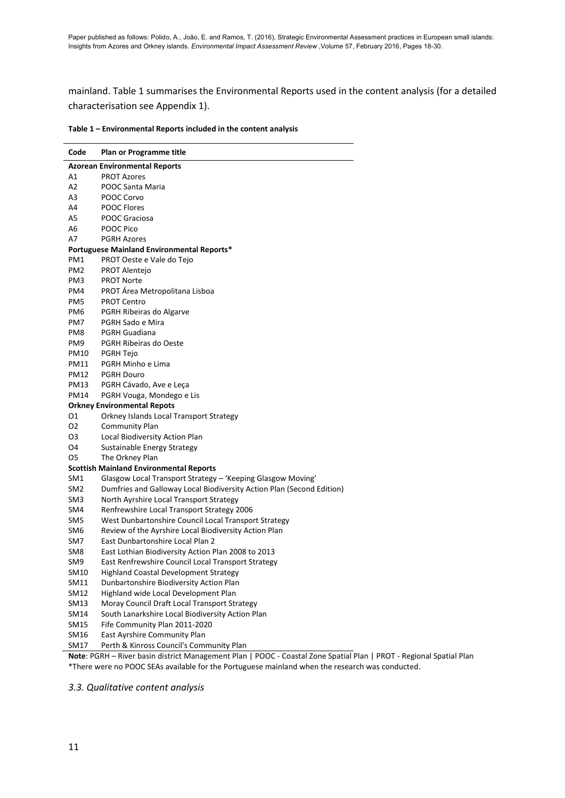mainland. Table 1 summarises the Environmental Reports used in the content analysis (for a detailed characterisation see Appendix 1).

| Code            | Plan or Programme title                                                              |
|-----------------|--------------------------------------------------------------------------------------|
|                 | <b>Azorean Environmental Reports</b>                                                 |
| Α1              | <b>PROT Azores</b>                                                                   |
| A2              | POOC Santa Maria                                                                     |
| A3              | POOC Corvo                                                                           |
| A4              | <b>POOC Flores</b>                                                                   |
| A5              | <b>POOC Graciosa</b>                                                                 |
| A6              | POOC Pico                                                                            |
| А7              | <b>PGRH Azores</b>                                                                   |
|                 | Portuguese Mainland Environmental Reports*                                           |
| PM1             | PROT Oeste e Vale do Tejo                                                            |
| PM <sub>2</sub> | PROT Alentejo                                                                        |
| PM3             | <b>PROT Norte</b>                                                                    |
| PM4             | PROT Área Metropolitana Lisboa                                                       |
| PM5             | <b>PROT Centro</b>                                                                   |
| PM <sub>6</sub> | PGRH Ribeiras do Algarve                                                             |
| PM7             | PGRH Sado e Mira                                                                     |
| PM <sub>8</sub> | <b>PGRH Guadiana</b>                                                                 |
| PM9             | PGRH Ribeiras do Oeste                                                               |
| PM10            | PGRH Tejo                                                                            |
| PM11            | PGRH Minho e Lima                                                                    |
| PM12            | <b>PGRH Douro</b>                                                                    |
| PM13            | PGRH Cávado, Ave e Leça                                                              |
| <b>PM14</b>     | PGRH Vouga, Mondego e Lis                                                            |
|                 | <b>Orkney Environmental Repots</b>                                                   |
| 01              | Orkney Islands Local Transport Strategy                                              |
| 02              | <b>Community Plan</b>                                                                |
| O3              | Local Biodiversity Action Plan                                                       |
| O4              | Sustainable Energy Strategy                                                          |
| 05              | The Orkney Plan                                                                      |
|                 | <b>Scottish Mainland Environmental Reports</b>                                       |
| SM1             | Glasgow Local Transport Strategy - 'Keeping Glasgow Moving'                          |
| SM <sub>2</sub> | Dumfries and Galloway Local Biodiversity Action Plan (Second Edition)                |
| SM <sub>3</sub> | North Ayrshire Local Transport Strategy                                              |
| SM4             | Renfrewshire Local Transport Strategy 2006                                           |
| SM5             | West Dunbartonshire Council Local Transport Strategy                                 |
| SM6             | Review of the Ayrshire Local Biodiversity Action Plan                                |
| SM7             | East Dunbartonshire Local Plan 2                                                     |
| SM8             | East Lothian Biodiversity Action Plan 2008 to 2013                                   |
| SM <sub>9</sub> | East Renfrewshire Council Local Transport Strategy                                   |
| SM10            | Highland Coastal Development Strategy                                                |
| SM11            | Dunbartonshire Biodiversity Action Plan                                              |
| SM12            | Highland wide Local Development Plan                                                 |
| SM13            | Moray Council Draft Local Transport Strategy                                         |
| SM14            | South Lanarkshire Local Biodiversity Action Plan                                     |
| SM15            | Fife Community Plan 2011-2020                                                        |
| SM16            | East Ayrshire Community Plan                                                         |
| SM17            | Perth & Kinross Council's Community Plan                                             |
|                 | Note: PGRH - River basin district Management Plan   POOC - Coastal Zone Spatial Plan |

PROT - Regional Spatial Plan \*There were no POOC SEAs available for the Portuguese mainland when the research was conducted.

*3.3. Qualitative content analysis*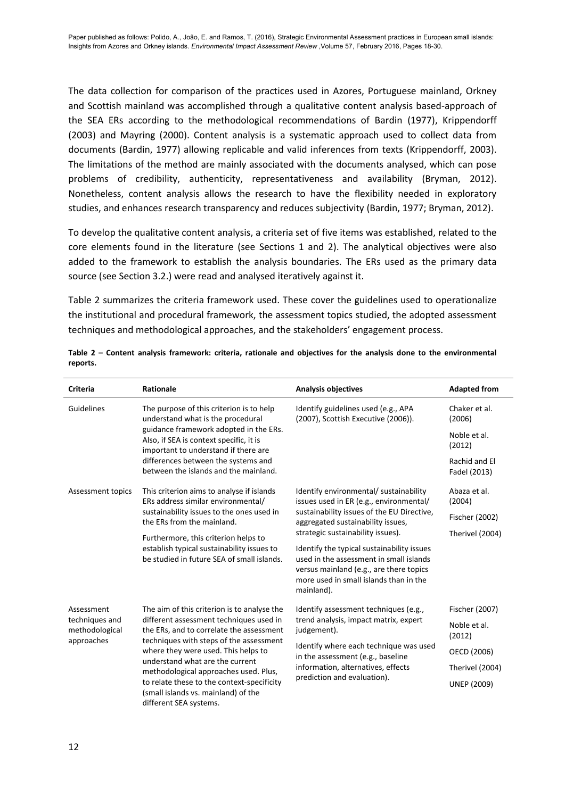The data collection for comparison of the practices used in Azores, Portuguese mainland, Orkney and Scottish mainland was accomplished through a qualitative content analysis based-approach of the SEA ERs according to the methodological recommendations of Bardin (1977), Krippendorff (2003) and Mayring (2000). Content analysis is a systematic approach used to collect data from documents (Bardin, 1977) allowing replicable and valid inferences from texts (Krippendorff, 2003). The limitations of the method are mainly associated with the documents analysed, which can pose problems of credibility, authenticity, representativeness and availability (Bryman, 2012). Nonetheless, content analysis allows the research to have the flexibility needed in exploratory studies, and enhances research transparency and reduces subjectivity (Bardin, 1977; Bryman, 2012).

To develop the qualitative content analysis, a criteria set of five items was established, related to the core elements found in the literature (see Sections 1 and 2). The analytical objectives were also added to the framework to establish the analysis boundaries. The ERs used as the primary data source (see Section 3.2.) were read and analysed iteratively against it.

Table 2 summarizes the criteria framework used. These cover the guidelines used to operationalize the institutional and procedural framework, the assessment topics studied, the adopted assessment techniques and methodological approaches, and the stakeholders' engagement process.

| <b>Criteria</b>                                | Rationale                                                                                                                                                                                                                                         | <b>Analysis objectives</b>                                                                                                                                                               | <b>Adapted from</b>           |
|------------------------------------------------|---------------------------------------------------------------------------------------------------------------------------------------------------------------------------------------------------------------------------------------------------|------------------------------------------------------------------------------------------------------------------------------------------------------------------------------------------|-------------------------------|
| Guidelines                                     | The purpose of this criterion is to help<br>understand what is the procedural                                                                                                                                                                     | Identify guidelines used (e.g., APA<br>(2007), Scottish Executive (2006)).                                                                                                               | Chaker et al.<br>(2006)       |
|                                                | guidance framework adopted in the ERs.<br>Also, if SEA is context specific, it is<br>important to understand if there are                                                                                                                         |                                                                                                                                                                                          | Noble et al.<br>(2012)        |
|                                                | differences between the systems and<br>between the islands and the mainland.                                                                                                                                                                      |                                                                                                                                                                                          | Rachid and El<br>Fadel (2013) |
| Assessment topics                              | This criterion aims to analyse if islands<br>ERs address similar environmental/                                                                                                                                                                   | Identify environmental/ sustainability<br>issues used in ER (e.g., environmental/                                                                                                        | Abaza et al.<br>(2004)        |
|                                                | sustainability issues to the ones used in<br>the ERs from the mainland.                                                                                                                                                                           | sustainability issues of the EU Directive,<br>aggregated sustainability issues,                                                                                                          | Fischer (2002)                |
|                                                | Furthermore, this criterion helps to                                                                                                                                                                                                              | strategic sustainability issues).                                                                                                                                                        | Therivel (2004)               |
|                                                | establish typical sustainability issues to<br>be studied in future SEA of small islands.                                                                                                                                                          | Identify the typical sustainability issues<br>used in the assessment in small islands<br>versus mainland (e.g., are there topics<br>more used in small islands than in the<br>mainland). |                               |
| Assessment                                     | The aim of this criterion is to analyse the                                                                                                                                                                                                       | Identify assessment techniques (e.g.,                                                                                                                                                    | Fischer (2007)                |
| techniques and<br>methodological<br>approaches | different assessment techniques used in<br>the ERs, and to correlate the assessment<br>techniques with steps of the assessment<br>where they were used. This helps to<br>understand what are the current<br>methodological approaches used. Plus, | trend analysis, impact matrix, expert<br>judgement).                                                                                                                                     | Noble et al.<br>(2012)        |
|                                                |                                                                                                                                                                                                                                                   | Identify where each technique was used<br>in the assessment (e.g., baseline<br>information, alternatives, effects                                                                        | OECD (2006)                   |
|                                                |                                                                                                                                                                                                                                                   |                                                                                                                                                                                          | Therivel (2004)               |
|                                                | to relate these to the context-specificity<br>(small islands vs. mainland) of the<br>different SEA systems.                                                                                                                                       | prediction and evaluation).                                                                                                                                                              | <b>UNEP (2009)</b>            |

**Table 2 – Content analysis framework: criteria, rationale and objectives for the analysis done to the environmental reports.**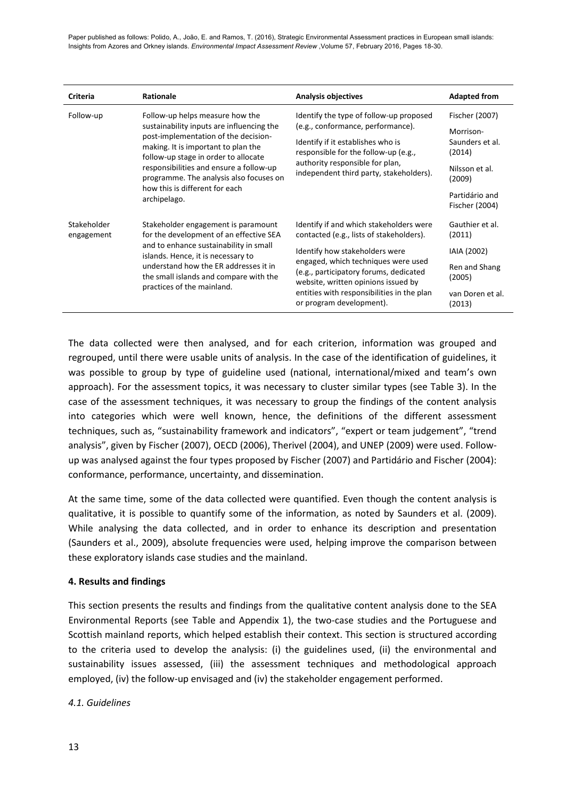Paper published as follows: Polido, A., João, E. and Ramos, T. (2016), Strategic Environmental Assessment practices in European small islands: Insights from Azores and Orkney islands. *Environmental Impact Assessment Review* ,Volume 57, February 2016, Pages 18-30.

| Criteria                  | Rationale                                                                                                                                                                                                                                                                                                                   | <b>Analysis objectives</b>                                                                                                                                                                                                              | <b>Adapted from</b>                                                                                    |
|---------------------------|-----------------------------------------------------------------------------------------------------------------------------------------------------------------------------------------------------------------------------------------------------------------------------------------------------------------------------|-----------------------------------------------------------------------------------------------------------------------------------------------------------------------------------------------------------------------------------------|--------------------------------------------------------------------------------------------------------|
| Follow-up                 | Follow-up helps measure how the<br>sustainability inputs are influencing the<br>post-implementation of the decision-<br>making. It is important to plan the<br>follow-up stage in order to allocate<br>responsibilities and ensure a follow-up<br>programme. The analysis also focuses on<br>how this is different for each | Identify the type of follow-up proposed<br>(e.g., conformance, performance).<br>Identify if it establishes who is<br>responsible for the follow-up (e.g.,<br>authority responsible for plan,<br>independent third party, stakeholders). | Fischer (2007)<br>Morrison-<br>Saunders et al.<br>(2014)<br>Nilsson et al.<br>(2009)<br>Partidário and |
|                           | archipelago.                                                                                                                                                                                                                                                                                                                |                                                                                                                                                                                                                                         | Fischer (2004)                                                                                         |
| Stakeholder<br>engagement | Stakeholder engagement is paramount<br>for the development of an effective SEA                                                                                                                                                                                                                                              | Identify if and which stakeholders were<br>contacted (e.g., lists of stakeholders).                                                                                                                                                     | Gauthier et al.<br>(2011)                                                                              |
|                           | and to enhance sustainability in small<br>islands. Hence, it is necessary to<br>understand how the ER addresses it in<br>the small islands and compare with the<br>practices of the mainland.                                                                                                                               | Identify how stakeholders were<br>engaged, which techniques were used<br>(e.g., participatory forums, dedicated<br>website, written opinions issued by<br>entities with responsibilities in the plan<br>or program development).        | IAIA (2002)                                                                                            |
|                           |                                                                                                                                                                                                                                                                                                                             |                                                                                                                                                                                                                                         | Ren and Shang<br>(2005)                                                                                |
|                           |                                                                                                                                                                                                                                                                                                                             |                                                                                                                                                                                                                                         | van Doren et al.<br>(2013)                                                                             |

The data collected were then analysed, and for each criterion, information was grouped and regrouped, until there were usable units of analysis. In the case of the identification of guidelines, it was possible to group by type of guideline used (national, international/mixed and team's own approach). For the assessment topics, it was necessary to cluster similar types (see Table 3). In the case of the assessment techniques, it was necessary to group the findings of the content analysis into categories which were well known, hence, the definitions of the different assessment techniques, such as, "sustainability framework and indicators", "expert or team judgement", "trend analysis", given by Fischer (2007), OECD (2006), Therivel (2004), and UNEP (2009) were used. Followup was analysed against the four types proposed by Fischer (2007) and Partidário and Fischer (2004): conformance, performance, uncertainty, and dissemination.

At the same time, some of the data collected were quantified. Even though the content analysis is qualitative, it is possible to quantify some of the information, as noted by Saunders et al. (2009). While analysing the data collected, and in order to enhance its description and presentation (Saunders et al., 2009), absolute frequencies were used, helping improve the comparison between these exploratory islands case studies and the mainland.

## **4. Results and findings**

This section presents the results and findings from the qualitative content analysis done to the SEA Environmental Reports (see Table and Appendix 1), the two-case studies and the Portuguese and Scottish mainland reports, which helped establish their context. This section is structured according to the criteria used to develop the analysis: (i) the guidelines used, (ii) the environmental and sustainability issues assessed, (iii) the assessment techniques and methodological approach employed, (iv) the follow-up envisaged and (iv) the stakeholder engagement performed.

## *4.1. Guidelines*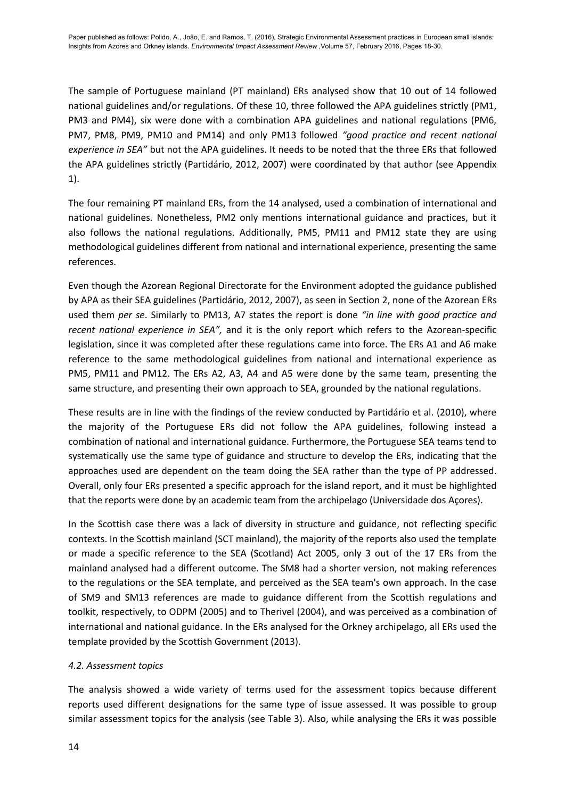The sample of Portuguese mainland (PT mainland) ERs analysed show that 10 out of 14 followed national guidelines and/or regulations. Of these 10, three followed the APA guidelines strictly (PM1, PM3 and PM4), six were done with a combination APA guidelines and national regulations (PM6, PM7, PM8, PM9, PM10 and PM14) and only PM13 followed *"good practice and recent national experience in SEA"* but not the APA guidelines. It needs to be noted that the three ERs that followed the APA guidelines strictly (Partidário, 2012, 2007) were coordinated by that author (see Appendix 1).

The four remaining PT mainland ERs, from the 14 analysed, used a combination of international and national guidelines. Nonetheless, PM2 only mentions international guidance and practices, but it also follows the national regulations. Additionally, PM5, PM11 and PM12 state they are using methodological guidelines different from national and international experience, presenting the same references.

Even though the Azorean Regional Directorate for the Environment adopted the guidance published by APA as their SEA guidelines (Partidário, 2012, 2007), as seen in Section 2, none of the Azorean ERs used them *per se*. Similarly to PM13, A7 states the report is done *"in line with good practice and recent national experience in SEA",* and it is the only report which refers to the Azorean-specific legislation, since it was completed after these regulations came into force. The ERs A1 and A6 make reference to the same methodological guidelines from national and international experience as PM5, PM11 and PM12. The ERs A2, A3, A4 and A5 were done by the same team, presenting the same structure, and presenting their own approach to SEA, grounded by the national regulations.

These results are in line with the findings of the review conducted by Partidário et al. (2010), where the majority of the Portuguese ERs did not follow the APA guidelines, following instead a combination of national and international guidance. Furthermore, the Portuguese SEA teams tend to systematically use the same type of guidance and structure to develop the ERs, indicating that the approaches used are dependent on the team doing the SEA rather than the type of PP addressed. Overall, only four ERs presented a specific approach for the island report, and it must be highlighted that the reports were done by an academic team from the archipelago (Universidade dos Açores).

In the Scottish case there was a lack of diversity in structure and guidance, not reflecting specific contexts. In the Scottish mainland (SCT mainland), the majority of the reports also used the template or made a specific reference to the SEA (Scotland) Act 2005, only 3 out of the 17 ERs from the mainland analysed had a different outcome. The SM8 had a shorter version, not making references to the regulations or the SEA template, and perceived as the SEA team's own approach. In the case of SM9 and SM13 references are made to guidance different from the Scottish regulations and toolkit, respectively, to ODPM (2005) and to Therivel (2004), and was perceived as a combination of international and national guidance. In the ERs analysed for the Orkney archipelago, all ERs used the template provided by the Scottish Government (2013).

# *4.2. Assessment topics*

The analysis showed a wide variety of terms used for the assessment topics because different reports used different designations for the same type of issue assessed. It was possible to group similar assessment topics for the analysis (see Table 3). Also, while analysing the ERs it was possible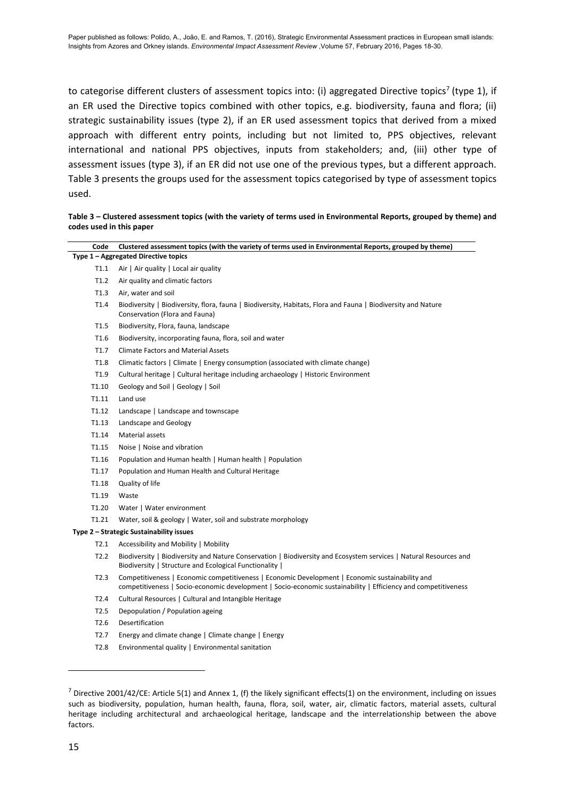to categorise different clusters of assessment topics into: (i) aggregated Directive topics<sup>7</sup> (type 1), if an ER used the Directive topics combined with other topics, e.g. biodiversity, fauna and flora; (ii) strategic sustainability issues (type 2), if an ER used assessment topics that derived from a mixed approach with different entry points, including but not limited to, PPS objectives, relevant international and national PPS objectives, inputs from stakeholders; and, (iii) other type of assessment issues (type 3), if an ER did not use one of the previous types, but a different approach. Table 3 presents the groups used for the assessment topics categorised by type of assessment topics used.

#### **Table 3 – Clustered assessment topics (with the variety of terms used in Environmental Reports, grouped by theme) and codes used in this paper**

| Code              | Clustered assessment topics (with the variety of terms used in Environmental Reports, grouped by theme)                                                                                                          |
|-------------------|------------------------------------------------------------------------------------------------------------------------------------------------------------------------------------------------------------------|
|                   | Type 1 - Aggregated Directive topics                                                                                                                                                                             |
| T1.1              | Air   Air quality   Local air quality                                                                                                                                                                            |
| T1.2              | Air quality and climatic factors                                                                                                                                                                                 |
| T1.3              | Air, water and soil                                                                                                                                                                                              |
| T1.4              | Biodiversity   Biodiversity, flora, fauna   Biodiversity, Habitats, Flora and Fauna   Biodiversity and Nature<br>Conservation (Flora and Fauna)                                                                  |
| T <sub>1.5</sub>  | Biodiversity, Flora, fauna, landscape                                                                                                                                                                            |
| T1.6              | Biodiversity, incorporating fauna, flora, soil and water                                                                                                                                                         |
| T1.7              | <b>Climate Factors and Material Assets</b>                                                                                                                                                                       |
| T1.8              | Climatic factors   Climate   Energy consumption (associated with climate change)                                                                                                                                 |
| T1.9              | Cultural heritage   Cultural heritage including archaeology   Historic Environment                                                                                                                               |
| T1.10             | Geology and Soil   Geology   Soil                                                                                                                                                                                |
| T1.11             | Land use                                                                                                                                                                                                         |
| T1.12             | Landscape   Landscape and townscape                                                                                                                                                                              |
| T1.13             | Landscape and Geology                                                                                                                                                                                            |
| T1.14             | <b>Material assets</b>                                                                                                                                                                                           |
| T <sub>1.15</sub> | Noise   Noise and vibration                                                                                                                                                                                      |
| T1.16             | Population and Human health   Human health   Population                                                                                                                                                          |
| T1.17             | Population and Human Health and Cultural Heritage                                                                                                                                                                |
| T1.18             | Quality of life                                                                                                                                                                                                  |
| T1.19             | Waste                                                                                                                                                                                                            |
| T1.20             | Water   Water environment                                                                                                                                                                                        |
| T1.21             | Water, soil & geology   Water, soil and substrate morphology                                                                                                                                                     |
|                   | Type 2 – Strategic Sustainability issues                                                                                                                                                                         |
| T2.1              | Accessibility and Mobility   Mobility                                                                                                                                                                            |
| T2.2              | Biodiversity   Biodiversity and Nature Conservation   Biodiversity and Ecosystem services   Natural Resources and<br>Biodiversity   Structure and Ecological Functionality                                       |
| T2.3              | Competitiveness   Economic competitiveness   Economic Development   Economic sustainability and<br>competitiveness   Socio-economic development   Socio-economic sustainability   Efficiency and competitiveness |
| T2.4              | Cultural Resources   Cultural and Intangible Heritage                                                                                                                                                            |
| T2.5              | Depopulation / Population ageing                                                                                                                                                                                 |
| T2.6              | Desertification                                                                                                                                                                                                  |
| T <sub>2.7</sub>  | Energy and climate change   Climate change   Energy                                                                                                                                                              |
| T <sub>2.8</sub>  | Environmental quality   Environmental sanitation                                                                                                                                                                 |
|                   |                                                                                                                                                                                                                  |

 $^7$  Directive 2001/42/CE: Article 5(1) and Annex 1, (f) the likely significant effects(1) on the environment, including on issues such as biodiversity, population, human health, fauna, flora, soil, water, air, climatic factors, material assets, cultural heritage including architectural and archaeological heritage, landscape and the interrelationship between the above factors.

**.**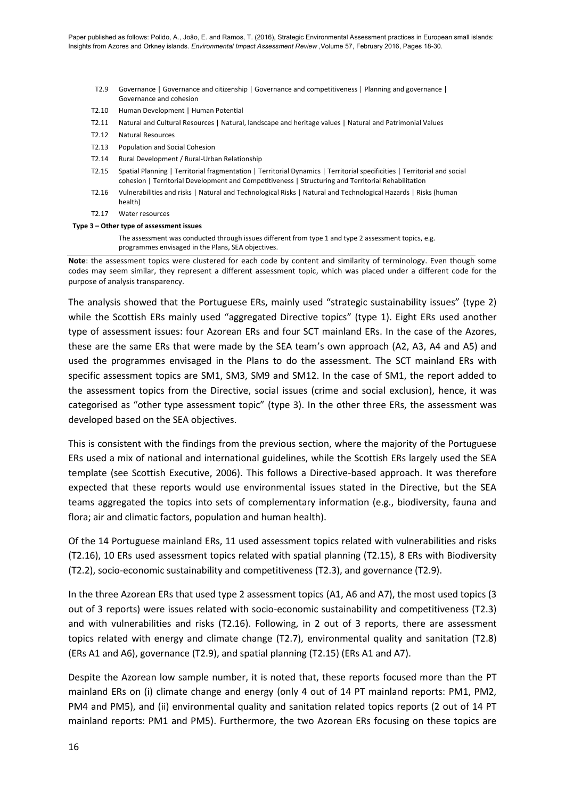- T2.9 Governance | Governance and citizenship | Governance and competitiveness | Planning and governance | Governance and cohesion
- T2.10 Human Development | Human Potential
- T2.11 Natural and Cultural Resources | Natural, landscape and heritage values | Natural and Patrimonial Values
- T2.12 Natural Resources
- T2.13 Population and Social Cohesion
- T2.14 Rural Development / Rural-Urban Relationship
- T2.15 Spatial Planning | Territorial fragmentation | Territorial Dynamics | Territorial specificities | Territorial and social cohesion | Territorial Development and Competitiveness | Structuring and Territorial Rehabilitation
- T2.16 Vulnerabilities and risks | Natural and Technological Risks | Natural and Technological Hazards | Risks (human health)
- T2.17 Water resources

#### **Type 3 – Other type of assessment issues**

The assessment was conducted through issues different from type 1 and type 2 assessment topics, e.g. programmes envisaged in the Plans, SEA objectives.

**Note**: the assessment topics were clustered for each code by content and similarity of terminology. Even though some codes may seem similar, they represent a different assessment topic, which was placed under a different code for the purpose of analysis transparency.

The analysis showed that the Portuguese ERs, mainly used "strategic sustainability issues" (type 2) while the Scottish ERs mainly used "aggregated Directive topics" (type 1). Eight ERs used another type of assessment issues: four Azorean ERs and four SCT mainland ERs. In the case of the Azores, these are the same ERs that were made by the SEA team's own approach (A2, A3, A4 and A5) and used the programmes envisaged in the Plans to do the assessment. The SCT mainland ERs with specific assessment topics are SM1, SM3, SM9 and SM12. In the case of SM1, the report added to the assessment topics from the Directive, social issues (crime and social exclusion), hence, it was categorised as "other type assessment topic" (type 3). In the other three ERs, the assessment was developed based on the SEA objectives.

This is consistent with the findings from the previous section, where the majority of the Portuguese ERs used a mix of national and international guidelines, while the Scottish ERs largely used the SEA template (see Scottish Executive, 2006). This follows a Directive-based approach. It was therefore expected that these reports would use environmental issues stated in the Directive, but the SEA teams aggregated the topics into sets of complementary information (e.g., biodiversity, fauna and flora; air and climatic factors, population and human health).

Of the 14 Portuguese mainland ERs, 11 used assessment topics related with vulnerabilities and risks (T2.16), 10 ERs used assessment topics related with spatial planning (T2.15), 8 ERs with Biodiversity (T2.2), socio-economic sustainability and competitiveness (T2.3), and governance (T2.9).

In the three Azorean ERs that used type 2 assessment topics (A1, A6 and A7), the most used topics (3 out of 3 reports) were issues related with socio-economic sustainability and competitiveness (T2.3) and with vulnerabilities and risks (T2.16). Following, in 2 out of 3 reports, there are assessment topics related with energy and climate change (T2.7), environmental quality and sanitation (T2.8) (ERs A1 and A6), governance (T2.9), and spatial planning (T2.15) (ERs A1 and A7).

Despite the Azorean low sample number, it is noted that, these reports focused more than the PT mainland ERs on (i) climate change and energy (only 4 out of 14 PT mainland reports: PM1, PM2, PM4 and PM5), and (ii) environmental quality and sanitation related topics reports (2 out of 14 PT mainland reports: PM1 and PM5). Furthermore, the two Azorean ERs focusing on these topics are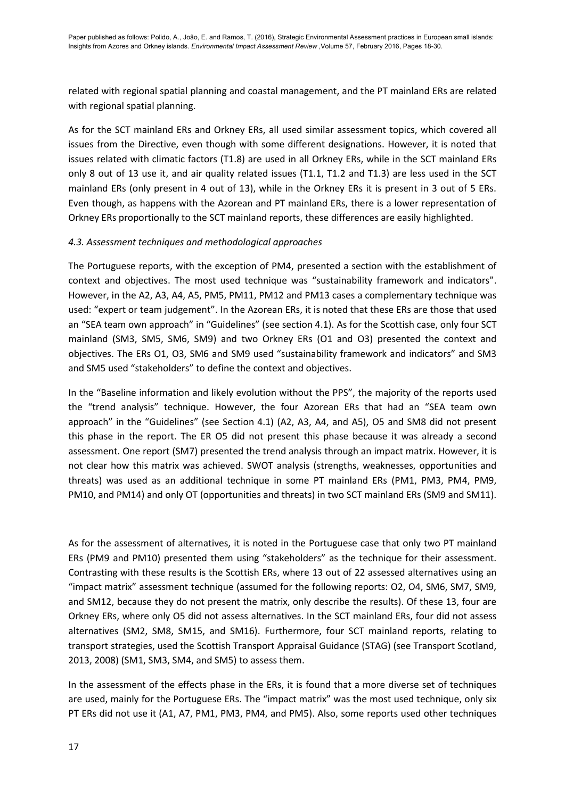related with regional spatial planning and coastal management, and the PT mainland ERs are related with regional spatial planning.

As for the SCT mainland ERs and Orkney ERs, all used similar assessment topics, which covered all issues from the Directive, even though with some different designations. However, it is noted that issues related with climatic factors (T1.8) are used in all Orkney ERs, while in the SCT mainland ERs only 8 out of 13 use it, and air quality related issues (T1.1, T1.2 and T1.3) are less used in the SCT mainland ERs (only present in 4 out of 13), while in the Orkney ERs it is present in 3 out of 5 ERs. Even though, as happens with the Azorean and PT mainland ERs, there is a lower representation of Orkney ERs proportionally to the SCT mainland reports, these differences are easily highlighted.

## *4.3. Assessment techniques and methodological approaches*

The Portuguese reports, with the exception of PM4, presented a section with the establishment of context and objectives. The most used technique was "sustainability framework and indicators". However, in the A2, A3, A4, A5, PM5, PM11, PM12 and PM13 cases a complementary technique was used: "expert or team judgement". In the Azorean ERs, it is noted that these ERs are those that used an "SEA team own approach" in "Guidelines" (see section 4.1). As for the Scottish case, only four SCT mainland (SM3, SM5, SM6, SM9) and two Orkney ERs (O1 and O3) presented the context and objectives. The ERs O1, O3, SM6 and SM9 used "sustainability framework and indicators" and SM3 and SM5 used "stakeholders" to define the context and objectives.

In the "Baseline information and likely evolution without the PPS", the majority of the reports used the "trend analysis" technique. However, the four Azorean ERs that had an "SEA team own approach" in the "Guidelines" (see Section 4.1) (A2, A3, A4, and A5), O5 and SM8 did not present this phase in the report. The ER O5 did not present this phase because it was already a second assessment. One report (SM7) presented the trend analysis through an impact matrix. However, it is not clear how this matrix was achieved. SWOT analysis (strengths, weaknesses, opportunities and threats) was used as an additional technique in some PT mainland ERs (PM1, PM3, PM4, PM9, PM10, and PM14) and only OT (opportunities and threats) in two SCT mainland ERs (SM9 and SM11).

As for the assessment of alternatives, it is noted in the Portuguese case that only two PT mainland ERs (PM9 and PM10) presented them using "stakeholders" as the technique for their assessment. Contrasting with these results is the Scottish ERs, where 13 out of 22 assessed alternatives using an "impact matrix" assessment technique (assumed for the following reports: O2, O4, SM6, SM7, SM9, and SM12, because they do not present the matrix, only describe the results). Of these 13, four are Orkney ERs, where only O5 did not assess alternatives. In the SCT mainland ERs, four did not assess alternatives (SM2, SM8, SM15, and SM16). Furthermore, four SCT mainland reports, relating to transport strategies, used the Scottish Transport Appraisal Guidance (STAG) (see Transport Scotland, 2013, 2008) (SM1, SM3, SM4, and SM5) to assess them.

In the assessment of the effects phase in the ERs, it is found that a more diverse set of techniques are used, mainly for the Portuguese ERs. The "impact matrix" was the most used technique, only six PT ERs did not use it (A1, A7, PM1, PM3, PM4, and PM5). Also, some reports used other techniques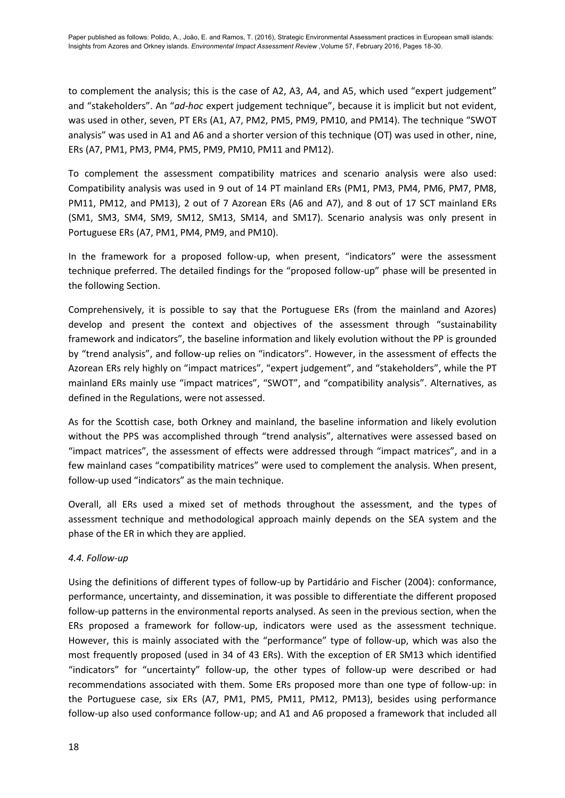to complement the analysis; this is the case of A2, A3, A4, and A5, which used "expert judgement" and "stakeholders". An "*ad-hoc* expert judgement technique", because it is implicit but not evident, was used in other, seven, PT ERs (A1, A7, PM2, PM5, PM9, PM10, and PM14). The technique "SWOT analysis" was used in A1 and A6 and a shorter version of this technique (OT) was used in other, nine, ERs (A7, PM1, PM3, PM4, PM5, PM9, PM10, PM11 and PM12).

To complement the assessment compatibility matrices and scenario analysis were also used: Compatibility analysis was used in 9 out of 14 PT mainland ERs (PM1, PM3, PM4, PM6, PM7, PM8, PM11, PM12, and PM13), 2 out of 7 Azorean ERs (A6 and A7), and 8 out of 17 SCT mainland ERs (SM1, SM3, SM4, SM9, SM12, SM13, SM14, and SM17). Scenario analysis was only present in Portuguese ERs (A7, PM1, PM4, PM9, and PM10).

In the framework for a proposed follow-up, when present, "indicators" were the assessment technique preferred. The detailed findings for the "proposed follow-up" phase will be presented in the following Section.

Comprehensively, it is possible to say that the Portuguese ERs (from the mainland and Azores) develop and present the context and objectives of the assessment through "sustainability framework and indicators", the baseline information and likely evolution without the PP is grounded by "trend analysis", and follow-up relies on "indicators". However, in the assessment of effects the Azorean ERs rely highly on "impact matrices", "expert judgement", and "stakeholders", while the PT mainland ERs mainly use "impact matrices", "SWOT", and "compatibility analysis". Alternatives, as defined in the Regulations, were not assessed.

As for the Scottish case, both Orkney and mainland, the baseline information and likely evolution without the PPS was accomplished through "trend analysis", alternatives were assessed based on "impact matrices", the assessment of effects were addressed through "impact matrices", and in a few mainland cases "compatibility matrices" were used to complement the analysis. When present, follow-up used "indicators" as the main technique.

Overall, all ERs used a mixed set of methods throughout the assessment, and the types of assessment technique and methodological approach mainly depends on the SEA system and the phase of the ER in which they are applied.

## *4.4. Follow-up*

Using the definitions of different types of follow-up by Partidário and Fischer (2004): conformance, performance, uncertainty, and dissemination, it was possible to differentiate the different proposed follow-up patterns in the environmental reports analysed. As seen in the previous section, when the ERs proposed a framework for follow-up, indicators were used as the assessment technique. However, this is mainly associated with the "performance" type of follow-up, which was also the most frequently proposed (used in 34 of 43 ERs). With the exception of ER SM13 which identified "indicators" for "uncertainty" follow-up, the other types of follow-up were described or had recommendations associated with them. Some ERs proposed more than one type of follow-up: in the Portuguese case, six ERs (A7, PM1, PM5, PM11, PM12, PM13), besides using performance follow-up also used conformance follow-up; and A1 and A6 proposed a framework that included all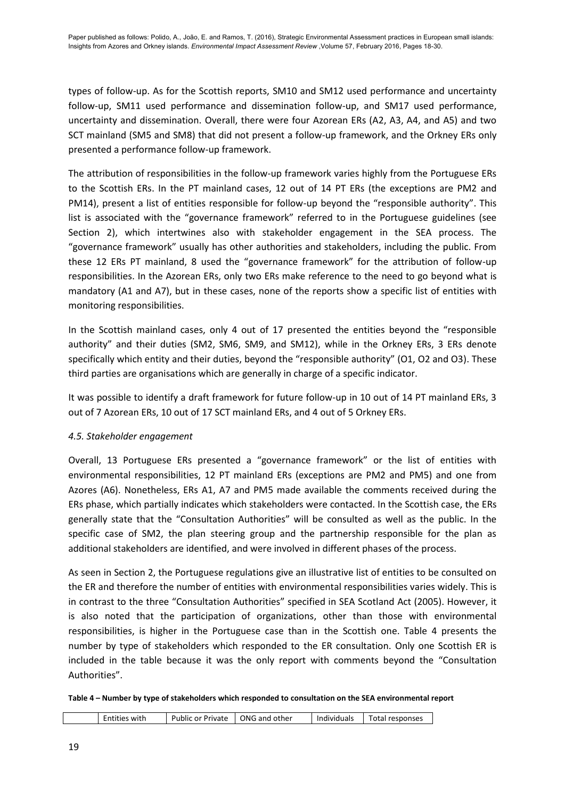types of follow-up. As for the Scottish reports, SM10 and SM12 used performance and uncertainty follow-up, SM11 used performance and dissemination follow-up, and SM17 used performance, uncertainty and dissemination. Overall, there were four Azorean ERs (A2, A3, A4, and A5) and two SCT mainland (SM5 and SM8) that did not present a follow-up framework, and the Orkney ERs only presented a performance follow-up framework.

The attribution of responsibilities in the follow-up framework varies highly from the Portuguese ERs to the Scottish ERs. In the PT mainland cases, 12 out of 14 PT ERs (the exceptions are PM2 and PM14), present a list of entities responsible for follow-up beyond the "responsible authority". This list is associated with the "governance framework" referred to in the Portuguese guidelines (see Section 2), which intertwines also with stakeholder engagement in the SEA process. The "governance framework" usually has other authorities and stakeholders, including the public. From these 12 ERs PT mainland, 8 used the "governance framework" for the attribution of follow-up responsibilities. In the Azorean ERs, only two ERs make reference to the need to go beyond what is mandatory (A1 and A7), but in these cases, none of the reports show a specific list of entities with monitoring responsibilities.

In the Scottish mainland cases, only 4 out of 17 presented the entities beyond the "responsible authority" and their duties (SM2, SM6, SM9, and SM12), while in the Orkney ERs, 3 ERs denote specifically which entity and their duties, beyond the "responsible authority" (O1, O2 and O3). These third parties are organisations which are generally in charge of a specific indicator.

It was possible to identify a draft framework for future follow-up in 10 out of 14 PT mainland ERs, 3 out of 7 Azorean ERs, 10 out of 17 SCT mainland ERs, and 4 out of 5 Orkney ERs.

# *4.5. Stakeholder engagement*

Overall, 13 Portuguese ERs presented a "governance framework" or the list of entities with environmental responsibilities, 12 PT mainland ERs (exceptions are PM2 and PM5) and one from Azores (A6). Nonetheless, ERs A1, A7 and PM5 made available the comments received during the ERs phase, which partially indicates which stakeholders were contacted. In the Scottish case, the ERs generally state that the "Consultation Authorities" will be consulted as well as the public. In the specific case of SM2, the plan steering group and the partnership responsible for the plan as additional stakeholders are identified, and were involved in different phases of the process.

As seen in Section 2, the Portuguese regulations give an illustrative list of entities to be consulted on the ER and therefore the number of entities with environmental responsibilities varies widely. This is in contrast to the three "Consultation Authorities" specified in SEA Scotland Act (2005). However, it is also noted that the participation of organizations, other than those with environmental responsibilities, is higher in the Portuguese case than in the Scottish one. Table 4 presents the number by type of stakeholders which responded to the ER consultation. Only one Scottish ER is included in the table because it was the only report with comments beyond the "Consultation Authorities".

**Table 4 – Number by type of stakeholders which responded to consultation on the SEA environmental report**

|  |  | .<br>Entities with | <b>Public or Private</b> | ONG and other | Individuals | Total responses |
|--|--|--------------------|--------------------------|---------------|-------------|-----------------|
|--|--|--------------------|--------------------------|---------------|-------------|-----------------|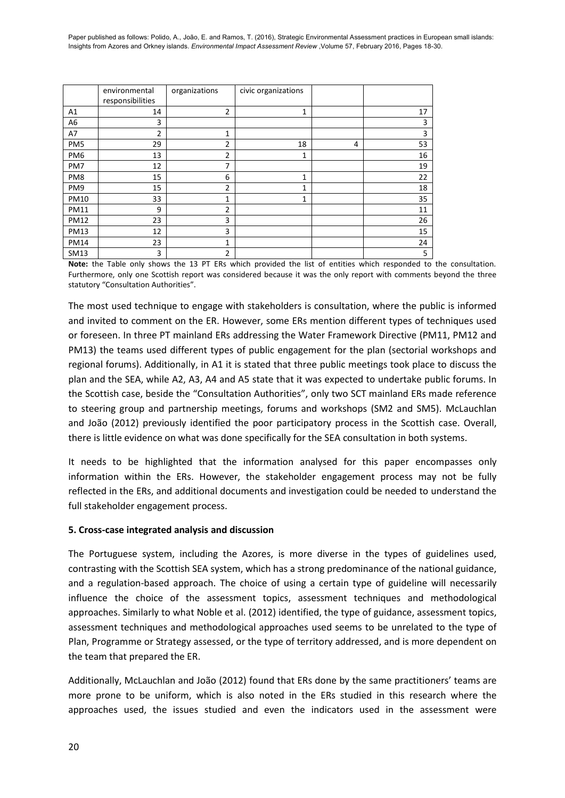|                 | environmental<br>responsibilities | organizations            | civic organizations |   |    |
|-----------------|-----------------------------------|--------------------------|---------------------|---|----|
| A1              | 14                                | 2                        | 1                   |   | 17 |
| A <sub>6</sub>  | 3                                 |                          |                     |   | 3  |
| A7              | $\overline{2}$                    | 1                        |                     |   | 3  |
| PM <sub>5</sub> | 29                                | $\overline{2}$           | 18                  | 4 | 53 |
| PM <sub>6</sub> | 13                                | $\overline{2}$           | 1                   |   | 16 |
| PM7             | 12                                | 7                        |                     |   | 19 |
| PM8             | 15                                | 6                        | 1                   |   | 22 |
| PM9             | 15                                | $\overline{\phantom{a}}$ | 1                   |   | 18 |
| <b>PM10</b>     | 33                                | 1                        | 1                   |   | 35 |
| <b>PM11</b>     | 9                                 | 2                        |                     |   | 11 |
| <b>PM12</b>     | 23                                | 3                        |                     |   | 26 |
| <b>PM13</b>     | 12                                | 3                        |                     |   | 15 |
| <b>PM14</b>     | 23                                | 1                        |                     |   | 24 |
| SM13            | 3                                 | 2                        |                     |   | 5  |

**Note:** the Table only shows the 13 PT ERs which provided the list of entities which responded to the consultation. Furthermore, only one Scottish report was considered because it was the only report with comments beyond the three statutory "Consultation Authorities".

The most used technique to engage with stakeholders is consultation, where the public is informed and invited to comment on the ER. However, some ERs mention different types of techniques used or foreseen. In three PT mainland ERs addressing the Water Framework Directive (PM11, PM12 and PM13) the teams used different types of public engagement for the plan (sectorial workshops and regional forums). Additionally, in A1 it is stated that three public meetings took place to discuss the plan and the SEA, while A2, A3, A4 and A5 state that it was expected to undertake public forums. In the Scottish case, beside the "Consultation Authorities", only two SCT mainland ERs made reference to steering group and partnership meetings, forums and workshops (SM2 and SM5). McLauchlan and João (2012) previously identified the poor participatory process in the Scottish case. Overall, there is little evidence on what was done specifically for the SEA consultation in both systems.

It needs to be highlighted that the information analysed for this paper encompasses only information within the ERs. However, the stakeholder engagement process may not be fully reflected in the ERs, and additional documents and investigation could be needed to understand the full stakeholder engagement process.

## **5. Cross-case integrated analysis and discussion**

The Portuguese system, including the Azores, is more diverse in the types of guidelines used, contrasting with the Scottish SEA system, which has a strong predominance of the national guidance, and a regulation-based approach. The choice of using a certain type of guideline will necessarily influence the choice of the assessment topics, assessment techniques and methodological approaches. Similarly to what Noble et al. (2012) identified, the type of guidance, assessment topics, assessment techniques and methodological approaches used seems to be unrelated to the type of Plan, Programme or Strategy assessed, or the type of territory addressed, and is more dependent on the team that prepared the ER.

Additionally, McLauchlan and João (2012) found that ERs done by the same practitioners' teams are more prone to be uniform, which is also noted in the ERs studied in this research where the approaches used, the issues studied and even the indicators used in the assessment were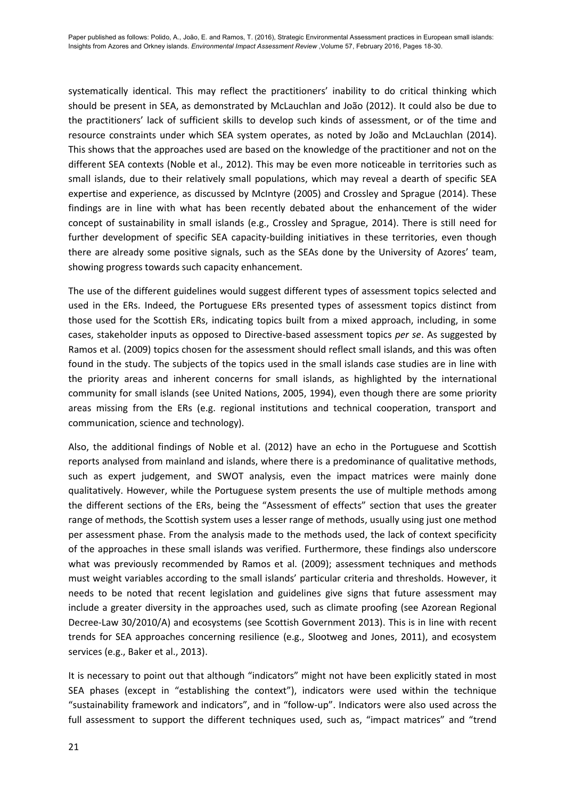systematically identical. This may reflect the practitioners' inability to do critical thinking which should be present in SEA, as demonstrated by McLauchlan and João (2012). It could also be due to the practitioners' lack of sufficient skills to develop such kinds of assessment, or of the time and resource constraints under which SEA system operates, as noted by João and McLauchlan (2014). This shows that the approaches used are based on the knowledge of the practitioner and not on the different SEA contexts (Noble et al., 2012). This may be even more noticeable in territories such as small islands, due to their relatively small populations, which may reveal a dearth of specific SEA expertise and experience, as discussed by McIntyre (2005) and Crossley and Sprague (2014). These findings are in line with what has been recently debated about the enhancement of the wider concept of sustainability in small islands (e.g., Crossley and Sprague, 2014). There is still need for further development of specific SEA capacity-building initiatives in these territories, even though there are already some positive signals, such as the SEAs done by the University of Azores' team, showing progress towards such capacity enhancement.

The use of the different guidelines would suggest different types of assessment topics selected and used in the ERs. Indeed, the Portuguese ERs presented types of assessment topics distinct from those used for the Scottish ERs, indicating topics built from a mixed approach, including, in some cases, stakeholder inputs as opposed to Directive-based assessment topics *per se*. As suggested by Ramos et al. (2009) topics chosen for the assessment should reflect small islands, and this was often found in the study. The subjects of the topics used in the small islands case studies are in line with the priority areas and inherent concerns for small islands, as highlighted by the international community for small islands (see United Nations, 2005, 1994), even though there are some priority areas missing from the ERs (e.g. regional institutions and technical cooperation, transport and communication, science and technology).

Also, the additional findings of Noble et al. (2012) have an echo in the Portuguese and Scottish reports analysed from mainland and islands, where there is a predominance of qualitative methods, such as expert judgement, and SWOT analysis, even the impact matrices were mainly done qualitatively. However, while the Portuguese system presents the use of multiple methods among the different sections of the ERs, being the "Assessment of effects" section that uses the greater range of methods, the Scottish system uses a lesser range of methods, usually using just one method per assessment phase. From the analysis made to the methods used, the lack of context specificity of the approaches in these small islands was verified. Furthermore, these findings also underscore what was previously recommended by Ramos et al. (2009); assessment techniques and methods must weight variables according to the small islands' particular criteria and thresholds. However, it needs to be noted that recent legislation and guidelines give signs that future assessment may include a greater diversity in the approaches used, such as climate proofing (see Azorean Regional Decree-Law 30/2010/A) and ecosystems (see Scottish Government 2013). This is in line with recent trends for SEA approaches concerning resilience (e.g., Slootweg and Jones, 2011), and ecosystem services (e.g., Baker et al., 2013).

It is necessary to point out that although "indicators" might not have been explicitly stated in most SEA phases (except in "establishing the context"), indicators were used within the technique "sustainability framework and indicators", and in "follow-up". Indicators were also used across the full assessment to support the different techniques used, such as, "impact matrices" and "trend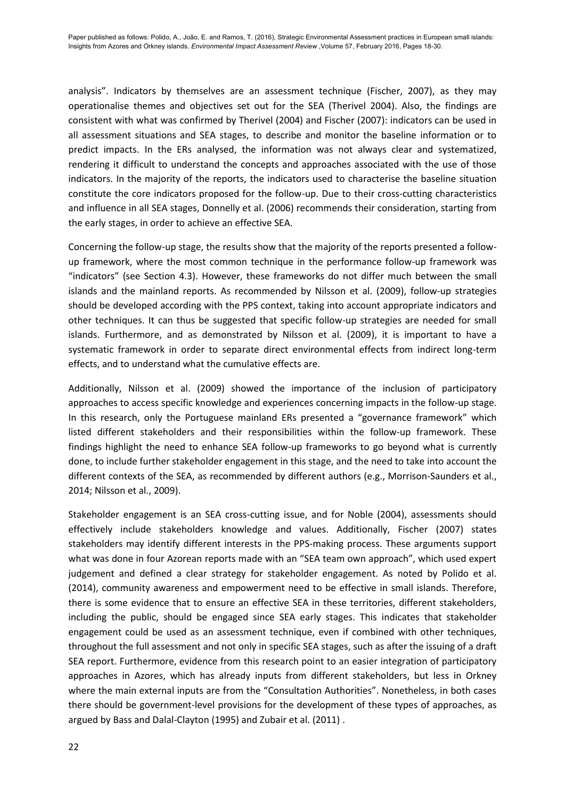analysis". Indicators by themselves are an assessment technique (Fischer, 2007), as they may operationalise themes and objectives set out for the SEA (Therivel 2004). Also, the findings are consistent with what was confirmed by Therivel (2004) and Fischer (2007): indicators can be used in all assessment situations and SEA stages, to describe and monitor the baseline information or to predict impacts. In the ERs analysed, the information was not always clear and systematized, rendering it difficult to understand the concepts and approaches associated with the use of those indicators. In the majority of the reports, the indicators used to characterise the baseline situation constitute the core indicators proposed for the follow-up. Due to their cross-cutting characteristics and influence in all SEA stages, Donnelly et al. (2006) recommends their consideration, starting from the early stages, in order to achieve an effective SEA.

Concerning the follow-up stage, the results show that the majority of the reports presented a followup framework, where the most common technique in the performance follow-up framework was "indicators" (see Section 4.3). However, these frameworks do not differ much between the small islands and the mainland reports. As recommended by Nilsson et al. (2009), follow-up strategies should be developed according with the PPS context, taking into account appropriate indicators and other techniques. It can thus be suggested that specific follow-up strategies are needed for small islands. Furthermore, and as demonstrated by Nilsson et al. (2009), it is important to have a systematic framework in order to separate direct environmental effects from indirect long-term effects, and to understand what the cumulative effects are.

Additionally, Nilsson et al. (2009) showed the importance of the inclusion of participatory approaches to access specific knowledge and experiences concerning impacts in the follow-up stage. In this research, only the Portuguese mainland ERs presented a "governance framework" which listed different stakeholders and their responsibilities within the follow-up framework. These findings highlight the need to enhance SEA follow-up frameworks to go beyond what is currently done, to include further stakeholder engagement in this stage, and the need to take into account the different contexts of the SEA, as recommended by different authors (e.g., Morrison-Saunders et al., 2014; Nilsson et al., 2009).

Stakeholder engagement is an SEA cross-cutting issue, and for Noble (2004), assessments should effectively include stakeholders knowledge and values. Additionally, Fischer (2007) states stakeholders may identify different interests in the PPS-making process. These arguments support what was done in four Azorean reports made with an "SEA team own approach", which used expert judgement and defined a clear strategy for stakeholder engagement. As noted by Polido et al. (2014), community awareness and empowerment need to be effective in small islands. Therefore, there is some evidence that to ensure an effective SEA in these territories, different stakeholders, including the public, should be engaged since SEA early stages. This indicates that stakeholder engagement could be used as an assessment technique, even if combined with other techniques, throughout the full assessment and not only in specific SEA stages, such as after the issuing of a draft SEA report. Furthermore, evidence from this research point to an easier integration of participatory approaches in Azores, which has already inputs from different stakeholders, but less in Orkney where the main external inputs are from the "Consultation Authorities". Nonetheless, in both cases there should be government-level provisions for the development of these types of approaches, as argued by Bass and Dalal-Clayton (1995) and Zubair et al. (2011) .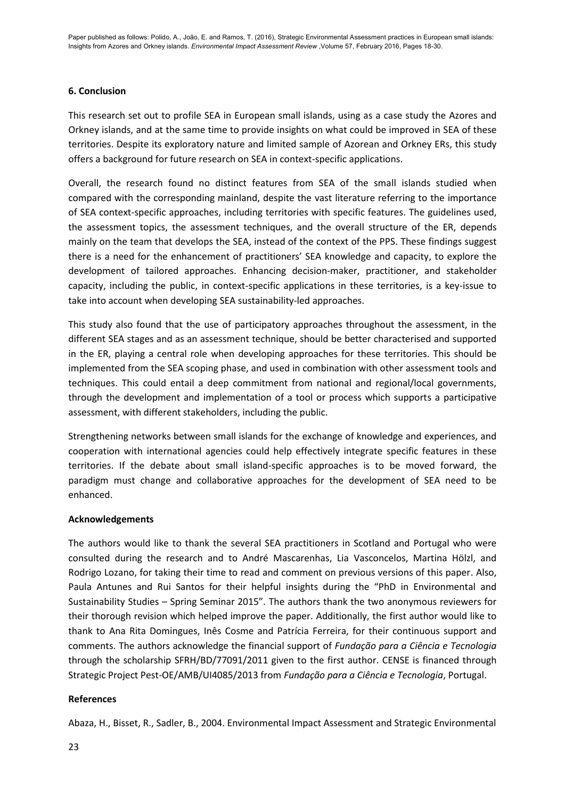## **6. Conclusion**

This research set out to profile SEA in European small islands, using as a case study the Azores and Orkney islands, and at the same time to provide insights on what could be improved in SEA of these territories. Despite its exploratory nature and limited sample of Azorean and Orkney ERs, this study offers a background for future research on SEA in context-specific applications.

Overall, the research found no distinct features from SEA of the small islands studied when compared with the corresponding mainland, despite the vast literature referring to the importance of SEA context-specific approaches, including territories with specific features. The guidelines used, the assessment topics, the assessment techniques, and the overall structure of the ER, depends mainly on the team that develops the SEA, instead of the context of the PPS. These findings suggest there is a need for the enhancement of practitioners' SEA knowledge and capacity, to explore the development of tailored approaches. Enhancing decision-maker, practitioner, and stakeholder capacity, including the public, in context-specific applications in these territories, is a key-issue to take into account when developing SEA sustainability-led approaches.

This study also found that the use of participatory approaches throughout the assessment, in the different SEA stages and as an assessment technique, should be better characterised and supported in the ER, playing a central role when developing approaches for these territories. This should be implemented from the SEA scoping phase, and used in combination with other assessment tools and techniques. This could entail a deep commitment from national and regional/local governments, through the development and implementation of a tool or process which supports a participative assessment, with different stakeholders, including the public.

Strengthening networks between small islands for the exchange of knowledge and experiences, and cooperation with international agencies could help effectively integrate specific features in these territories. If the debate about small island-specific approaches is to be moved forward, the paradigm must change and collaborative approaches for the development of SEA need to be enhanced.

#### **Acknowledgements**

The authors would like to thank the several SEA practitioners in Scotland and Portugal who were consulted during the research and to André Mascarenhas, Lia Vasconcelos, Martina Hölzl, and Rodrigo Lozano, for taking their time to read and comment on previous versions of this paper. Also, Paula Antunes and Rui Santos for their helpful insights during the "PhD in Environmental and Sustainability Studies – Spring Seminar 2015". The authors thank the two anonymous reviewers for their thorough revision which helped improve the paper. Additionally, the first author would like to thank to Ana Rita Domingues, Inês Cosme and Patrícia Ferreira, for their continuous support and comments. The authors acknowledge the financial support of *Fundação para a Ciência e Tecnologia* through the scholarship SFRH/BD/77091/2011 given to the first author. CENSE is financed through Strategic Project Pest-OE/AMB/UI4085/2013 from *Fundação para a Ciência e Tecnologia*, Portugal.

## **References**

Abaza, H., Bisset, R., Sadler, B., 2004. Environmental Impact Assessment and Strategic Environmental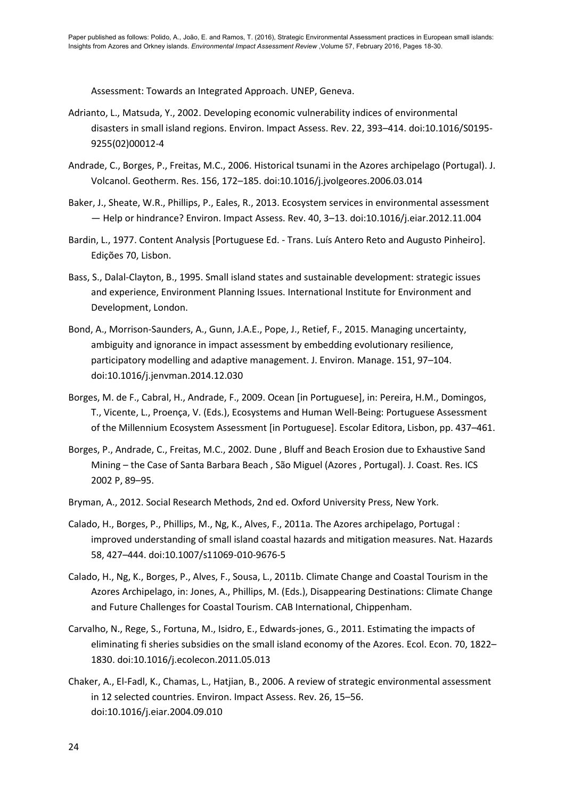Assessment: Towards an Integrated Approach. UNEP, Geneva.

- Adrianto, L., Matsuda, Y., 2002. Developing economic vulnerability indices of environmental disasters in small island regions. Environ. Impact Assess. Rev. 22, 393–414. doi:10.1016/S0195- 9255(02)00012-4
- Andrade, C., Borges, P., Freitas, M.C., 2006. Historical tsunami in the Azores archipelago (Portugal). J. Volcanol. Geotherm. Res. 156, 172–185. doi:10.1016/j.jvolgeores.2006.03.014
- Baker, J., Sheate, W.R., Phillips, P., Eales, R., 2013. Ecosystem services in environmental assessment — Help or hindrance? Environ. Impact Assess. Rev. 40, 3–13. doi:10.1016/j.eiar.2012.11.004
- Bardin, L., 1977. Content Analysis [Portuguese Ed. Trans. Luís Antero Reto and Augusto Pinheiro]. Edições 70, Lisbon.
- Bass, S., Dalal-Clayton, B., 1995. Small island states and sustainable development: strategic issues and experience, Environment Planning Issues. International Institute for Environment and Development, London.
- Bond, A., Morrison-Saunders, A., Gunn, J.A.E., Pope, J., Retief, F., 2015. Managing uncertainty, ambiguity and ignorance in impact assessment by embedding evolutionary resilience, participatory modelling and adaptive management. J. Environ. Manage. 151, 97–104. doi:10.1016/j.jenvman.2014.12.030
- Borges, M. de F., Cabral, H., Andrade, F., 2009. Ocean [in Portuguese], in: Pereira, H.M., Domingos, T., Vicente, L., Proença, V. (Eds.), Ecosystems and Human Well-Being: Portuguese Assessment of the Millennium Ecosystem Assessment [in Portuguese]. Escolar Editora, Lisbon, pp. 437–461.
- Borges, P., Andrade, C., Freitas, M.C., 2002. Dune , Bluff and Beach Erosion due to Exhaustive Sand Mining – the Case of Santa Barbara Beach , São Miguel (Azores , Portugal). J. Coast. Res. ICS 2002 P, 89–95.
- Bryman, A., 2012. Social Research Methods, 2nd ed. Oxford University Press, New York.
- Calado, H., Borges, P., Phillips, M., Ng, K., Alves, F., 2011a. The Azores archipelago, Portugal : improved understanding of small island coastal hazards and mitigation measures. Nat. Hazards 58, 427–444. doi:10.1007/s11069-010-9676-5
- Calado, H., Ng, K., Borges, P., Alves, F., Sousa, L., 2011b. Climate Change and Coastal Tourism in the Azores Archipelago, in: Jones, A., Phillips, M. (Eds.), Disappearing Destinations: Climate Change and Future Challenges for Coastal Tourism. CAB International, Chippenham.
- Carvalho, N., Rege, S., Fortuna, M., Isidro, E., Edwards-jones, G., 2011. Estimating the impacts of eliminating fi sheries subsidies on the small island economy of the Azores. Ecol. Econ. 70, 1822– 1830. doi:10.1016/j.ecolecon.2011.05.013
- Chaker, A., El-Fadl, K., Chamas, L., Hatjian, B., 2006. A review of strategic environmental assessment in 12 selected countries. Environ. Impact Assess. Rev. 26, 15–56. doi:10.1016/j.eiar.2004.09.010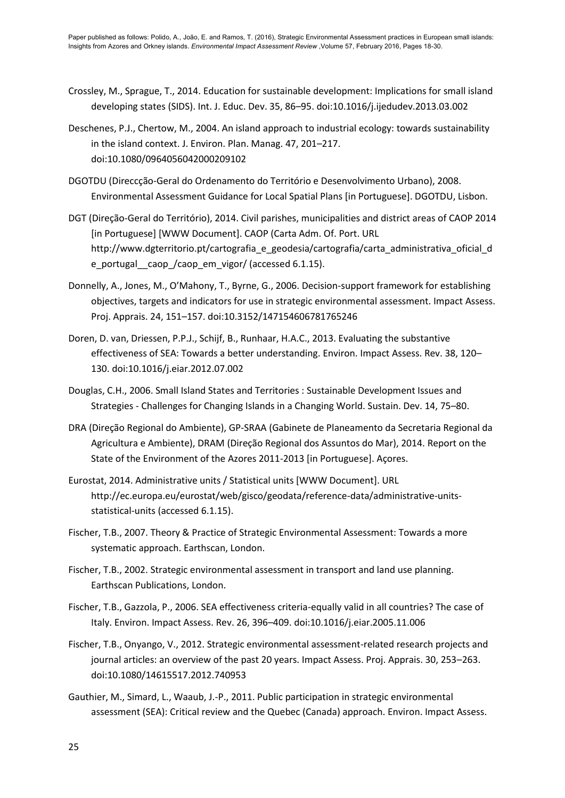- Crossley, M., Sprague, T., 2014. Education for sustainable development: Implications for small island developing states (SIDS). Int. J. Educ. Dev. 35, 86–95. doi:10.1016/j.ijedudev.2013.03.002
- Deschenes, P.J., Chertow, M., 2004. An island approach to industrial ecology: towards sustainability in the island context. J. Environ. Plan. Manag. 47, 201–217. doi:10.1080/0964056042000209102
- DGOTDU (Direccção-Geral do Ordenamento do Território e Desenvolvimento Urbano), 2008. Environmental Assessment Guidance for Local Spatial Plans [in Portuguese]. DGOTDU, Lisbon.
- DGT (Direção-Geral do Território), 2014. Civil parishes, municipalities and district areas of CAOP 2014 [in Portuguese] [WWW Document]. CAOP (Carta Adm. Of. Port. URL http://www.dgterritorio.pt/cartografia\_e\_geodesia/cartografia/carta\_administrativa\_oficial\_d e\_portugal\_\_caop\_/caop\_em\_vigor/ (accessed 6.1.15).
- Donnelly, A., Jones, M., O'Mahony, T., Byrne, G., 2006. Decision-support framework for establishing objectives, targets and indicators for use in strategic environmental assessment. Impact Assess. Proj. Apprais. 24, 151–157. doi:10.3152/147154606781765246
- Doren, D. van, Driessen, P.P.J., Schijf, B., Runhaar, H.A.C., 2013. Evaluating the substantive effectiveness of SEA: Towards a better understanding. Environ. Impact Assess. Rev. 38, 120– 130. doi:10.1016/j.eiar.2012.07.002
- Douglas, C.H., 2006. Small Island States and Territories : Sustainable Development Issues and Strategies - Challenges for Changing Islands in a Changing World. Sustain. Dev. 14, 75–80.
- DRA (Direção Regional do Ambiente), GP-SRAA (Gabinete de Planeamento da Secretaria Regional da Agricultura e Ambiente), DRAM (Direção Regional dos Assuntos do Mar), 2014. Report on the State of the Environment of the Azores 2011-2013 [in Portuguese]. Açores.
- Eurostat, 2014. Administrative units / Statistical units [WWW Document]. URL http://ec.europa.eu/eurostat/web/gisco/geodata/reference-data/administrative-unitsstatistical-units (accessed 6.1.15).
- Fischer, T.B., 2007. Theory & Practice of Strategic Environmental Assessment: Towards a more systematic approach. Earthscan, London.
- Fischer, T.B., 2002. Strategic environmental assessment in transport and land use planning. Earthscan Publications, London.
- Fischer, T.B., Gazzola, P., 2006. SEA effectiveness criteria-equally valid in all countries? The case of Italy. Environ. Impact Assess. Rev. 26, 396–409. doi:10.1016/j.eiar.2005.11.006
- Fischer, T.B., Onyango, V., 2012. Strategic environmental assessment-related research projects and journal articles: an overview of the past 20 years. Impact Assess. Proj. Apprais. 30, 253–263. doi:10.1080/14615517.2012.740953
- Gauthier, M., Simard, L., Waaub, J.-P., 2011. Public participation in strategic environmental assessment (SEA): Critical review and the Quebec (Canada) approach. Environ. Impact Assess.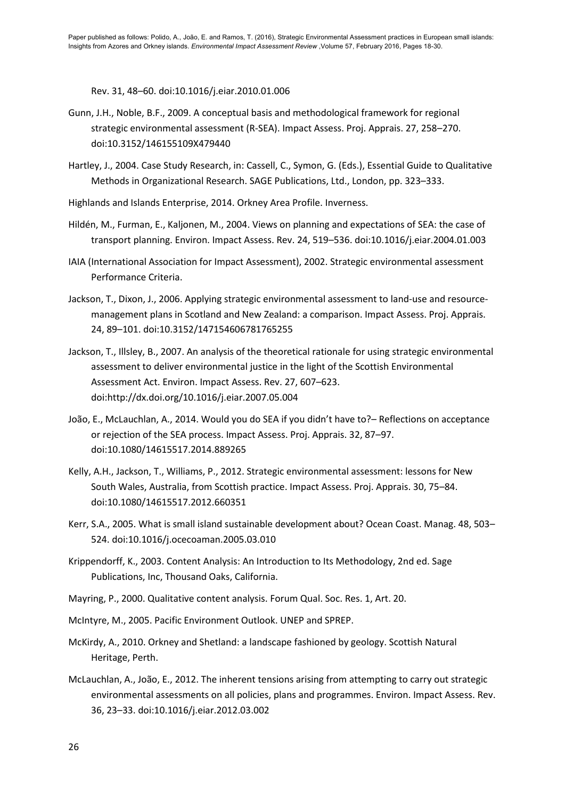Rev. 31, 48–60. doi:10.1016/j.eiar.2010.01.006

- Gunn, J.H., Noble, B.F., 2009. A conceptual basis and methodological framework for regional strategic environmental assessment (R-SEA). Impact Assess. Proj. Apprais. 27, 258–270. doi:10.3152/146155109X479440
- Hartley, J., 2004. Case Study Research, in: Cassell, C., Symon, G. (Eds.), Essential Guide to Qualitative Methods in Organizational Research. SAGE Publications, Ltd., London, pp. 323–333.
- Highlands and Islands Enterprise, 2014. Orkney Area Profile. Inverness.
- Hildén, M., Furman, E., Kaljonen, M., 2004. Views on planning and expectations of SEA: the case of transport planning. Environ. Impact Assess. Rev. 24, 519–536. doi:10.1016/j.eiar.2004.01.003
- IAIA (International Association for Impact Assessment), 2002. Strategic environmental assessment Performance Criteria.
- Jackson, T., Dixon, J., 2006. Applying strategic environmental assessment to land-use and resourcemanagement plans in Scotland and New Zealand: a comparison. Impact Assess. Proj. Apprais. 24, 89–101. doi:10.3152/147154606781765255
- Jackson, T., Illsley, B., 2007. An analysis of the theoretical rationale for using strategic environmental assessment to deliver environmental justice in the light of the Scottish Environmental Assessment Act. Environ. Impact Assess. Rev. 27, 607–623. doi:http://dx.doi.org/10.1016/j.eiar.2007.05.004
- João, E., McLauchlan, A., 2014. Would you do SEA if you didn't have to?– Reflections on acceptance or rejection of the SEA process. Impact Assess. Proj. Apprais. 32, 87–97. doi:10.1080/14615517.2014.889265
- Kelly, A.H., Jackson, T., Williams, P., 2012. Strategic environmental assessment: lessons for New South Wales, Australia, from Scottish practice. Impact Assess. Proj. Apprais. 30, 75–84. doi:10.1080/14615517.2012.660351
- Kerr, S.A., 2005. What is small island sustainable development about? Ocean Coast. Manag. 48, 503– 524. doi:10.1016/j.ocecoaman.2005.03.010
- Krippendorff, K., 2003. Content Analysis: An Introduction to Its Methodology, 2nd ed. Sage Publications, Inc, Thousand Oaks, California.
- Mayring, P., 2000. Qualitative content analysis. Forum Qual. Soc. Res. 1, Art. 20.
- McIntyre, M., 2005. Pacific Environment Outlook. UNEP and SPREP.
- McKirdy, A., 2010. Orkney and Shetland: a landscape fashioned by geology. Scottish Natural Heritage, Perth.
- McLauchlan, A., João, E., 2012. The inherent tensions arising from attempting to carry out strategic environmental assessments on all policies, plans and programmes. Environ. Impact Assess. Rev. 36, 23–33. doi:10.1016/j.eiar.2012.03.002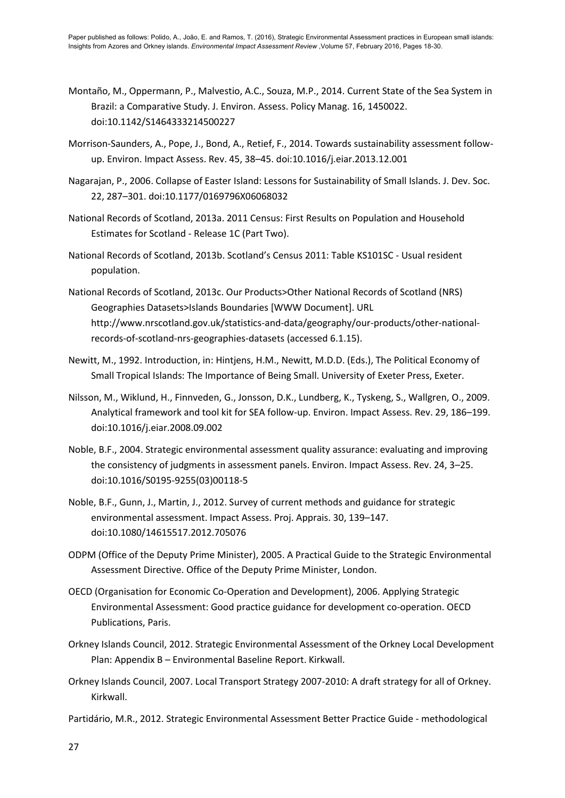- Montaño, M., Oppermann, P., Malvestio, A.C., Souza, M.P., 2014. Current State of the Sea System in Brazil: a Comparative Study. J. Environ. Assess. Policy Manag. 16, 1450022. doi:10.1142/S1464333214500227
- Morrison-Saunders, A., Pope, J., Bond, A., Retief, F., 2014. Towards sustainability assessment followup. Environ. Impact Assess. Rev. 45, 38–45. doi:10.1016/j.eiar.2013.12.001
- Nagarajan, P., 2006. Collapse of Easter Island: Lessons for Sustainability of Small Islands. J. Dev. Soc. 22, 287–301. doi:10.1177/0169796X06068032
- National Records of Scotland, 2013a. 2011 Census: First Results on Population and Household Estimates for Scotland - Release 1C (Part Two).
- National Records of Scotland, 2013b. Scotland's Census 2011: Table KS101SC Usual resident population.
- National Records of Scotland, 2013c. Our Products>Other National Records of Scotland (NRS) Geographies Datasets>Islands Boundaries [WWW Document]. URL http://www.nrscotland.gov.uk/statistics-and-data/geography/our-products/other-nationalrecords-of-scotland-nrs-geographies-datasets (accessed 6.1.15).
- Newitt, M., 1992. Introduction, in: Hintjens, H.M., Newitt, M.D.D. (Eds.), The Political Economy of Small Tropical Islands: The Importance of Being Small. University of Exeter Press, Exeter.
- Nilsson, M., Wiklund, H., Finnveden, G., Jonsson, D.K., Lundberg, K., Tyskeng, S., Wallgren, O., 2009. Analytical framework and tool kit for SEA follow-up. Environ. Impact Assess. Rev. 29, 186–199. doi:10.1016/j.eiar.2008.09.002
- Noble, B.F., 2004. Strategic environmental assessment quality assurance: evaluating and improving the consistency of judgments in assessment panels. Environ. Impact Assess. Rev. 24, 3–25. doi:10.1016/S0195-9255(03)00118-5
- Noble, B.F., Gunn, J., Martin, J., 2012. Survey of current methods and guidance for strategic environmental assessment. Impact Assess. Proj. Apprais. 30, 139–147. doi:10.1080/14615517.2012.705076
- ODPM (Office of the Deputy Prime Minister), 2005. A Practical Guide to the Strategic Environmental Assessment Directive. Office of the Deputy Prime Minister, London.
- OECD (Organisation for Economic Co-Operation and Development), 2006. Applying Strategic Environmental Assessment: Good practice guidance for development co-operation. OECD Publications, Paris.
- Orkney Islands Council, 2012. Strategic Environmental Assessment of the Orkney Local Development Plan: Appendix B – Environmental Baseline Report. Kirkwall.
- Orkney Islands Council, 2007. Local Transport Strategy 2007-2010: A draft strategy for all of Orkney. Kirkwall.
- Partidário, M.R., 2012. Strategic Environmental Assessment Better Practice Guide methodological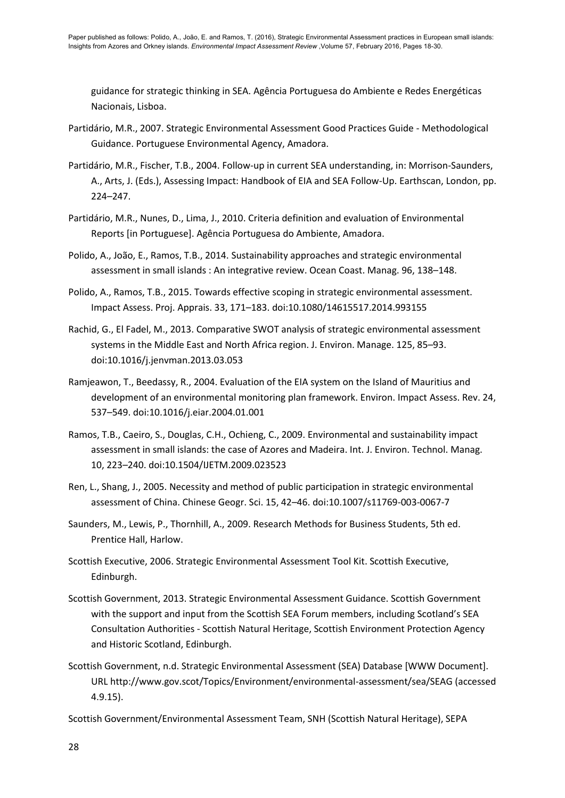guidance for strategic thinking in SEA. Agência Portuguesa do Ambiente e Redes Energéticas Nacionais, Lisboa.

- Partidário, M.R., 2007. Strategic Environmental Assessment Good Practices Guide Methodological Guidance. Portuguese Environmental Agency, Amadora.
- Partidário, M.R., Fischer, T.B., 2004. Follow-up in current SEA understanding, in: Morrison-Saunders, A., Arts, J. (Eds.), Assessing Impact: Handbook of EIA and SEA Follow-Up. Earthscan, London, pp. 224–247.
- Partidário, M.R., Nunes, D., Lima, J., 2010. Criteria definition and evaluation of Environmental Reports [in Portuguese]. Agência Portuguesa do Ambiente, Amadora.
- Polido, A., João, E., Ramos, T.B., 2014. Sustainability approaches and strategic environmental assessment in small islands : An integrative review. Ocean Coast. Manag. 96, 138–148.
- Polido, A., Ramos, T.B., 2015. Towards effective scoping in strategic environmental assessment. Impact Assess. Proj. Apprais. 33, 171–183. doi:10.1080/14615517.2014.993155
- Rachid, G., El Fadel, M., 2013. Comparative SWOT analysis of strategic environmental assessment systems in the Middle East and North Africa region. J. Environ. Manage. 125, 85–93. doi:10.1016/j.jenvman.2013.03.053
- Ramjeawon, T., Beedassy, R., 2004. Evaluation of the EIA system on the Island of Mauritius and development of an environmental monitoring plan framework. Environ. Impact Assess. Rev. 24, 537–549. doi:10.1016/j.eiar.2004.01.001
- Ramos, T.B., Caeiro, S., Douglas, C.H., Ochieng, C., 2009. Environmental and sustainability impact assessment in small islands: the case of Azores and Madeira. Int. J. Environ. Technol. Manag. 10, 223–240. doi:10.1504/IJETM.2009.023523
- Ren, L., Shang, J., 2005. Necessity and method of public participation in strategic environmental assessment of China. Chinese Geogr. Sci. 15, 42–46. doi:10.1007/s11769-003-0067-7
- Saunders, M., Lewis, P., Thornhill, A., 2009. Research Methods for Business Students, 5th ed. Prentice Hall, Harlow.
- Scottish Executive, 2006. Strategic Environmental Assessment Tool Kit. Scottish Executive, Edinburgh.
- Scottish Government, 2013. Strategic Environmental Assessment Guidance. Scottish Government with the support and input from the Scottish SEA Forum members, including Scotland's SEA Consultation Authorities - Scottish Natural Heritage, Scottish Environment Protection Agency and Historic Scotland, Edinburgh.
- Scottish Government, n.d. Strategic Environmental Assessment (SEA) Database [WWW Document]. URL http://www.gov.scot/Topics/Environment/environmental-assessment/sea/SEAG (accessed 4.9.15).
- Scottish Government/Environmental Assessment Team, SNH (Scottish Natural Heritage), SEPA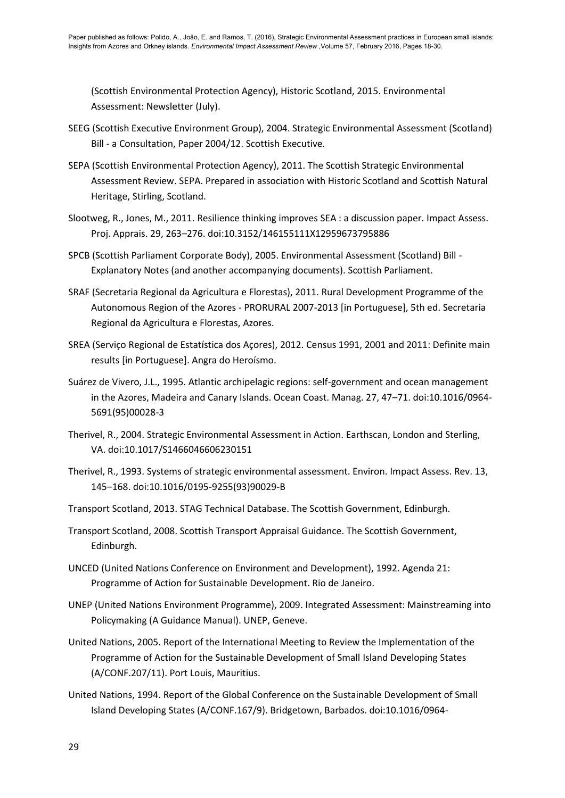(Scottish Environmental Protection Agency), Historic Scotland, 2015. Environmental Assessment: Newsletter (July).

- SEEG (Scottish Executive Environment Group), 2004. Strategic Environmental Assessment (Scotland) Bill - a Consultation, Paper 2004/12. Scottish Executive.
- SEPA (Scottish Environmental Protection Agency), 2011. The Scottish Strategic Environmental Assessment Review. SEPA. Prepared in association with Historic Scotland and Scottish Natural Heritage, Stirling, Scotland.
- Slootweg, R., Jones, M., 2011. Resilience thinking improves SEA : a discussion paper. Impact Assess. Proj. Apprais. 29, 263–276. doi:10.3152/146155111X12959673795886
- SPCB (Scottish Parliament Corporate Body), 2005. Environmental Assessment (Scotland) Bill Explanatory Notes (and another accompanying documents). Scottish Parliament.
- SRAF (Secretaria Regional da Agricultura e Florestas), 2011. Rural Development Programme of the Autonomous Region of the Azores - PRORURAL 2007-2013 [in Portuguese], 5th ed. Secretaria Regional da Agricultura e Florestas, Azores.
- SREA (Serviço Regional de Estatística dos Açores), 2012. Census 1991, 2001 and 2011: Definite main results [in Portuguese]. Angra do Heroísmo.
- Suárez de Vivero, J.L., 1995. Atlantic archipelagic regions: self-government and ocean management in the Azores, Madeira and Canary Islands. Ocean Coast. Manag. 27, 47–71. doi:10.1016/0964- 5691(95)00028-3
- Therivel, R., 2004. Strategic Environmental Assessment in Action. Earthscan, London and Sterling, VA. doi:10.1017/S1466046606230151
- Therivel, R., 1993. Systems of strategic environmental assessment. Environ. Impact Assess. Rev. 13, 145–168. doi:10.1016/0195-9255(93)90029-B
- Transport Scotland, 2013. STAG Technical Database. The Scottish Government, Edinburgh.
- Transport Scotland, 2008. Scottish Transport Appraisal Guidance. The Scottish Government, Edinburgh.
- UNCED (United Nations Conference on Environment and Development), 1992. Agenda 21: Programme of Action for Sustainable Development. Rio de Janeiro.
- UNEP (United Nations Environment Programme), 2009. Integrated Assessment: Mainstreaming into Policymaking (A Guidance Manual). UNEP, Geneve.
- United Nations, 2005. Report of the International Meeting to Review the Implementation of the Programme of Action for the Sustainable Development of Small Island Developing States (A/CONF.207/11). Port Louis, Mauritius.
- United Nations, 1994. Report of the Global Conference on the Sustainable Development of Small Island Developing States (A/CONF.167/9). Bridgetown, Barbados. doi:10.1016/0964-